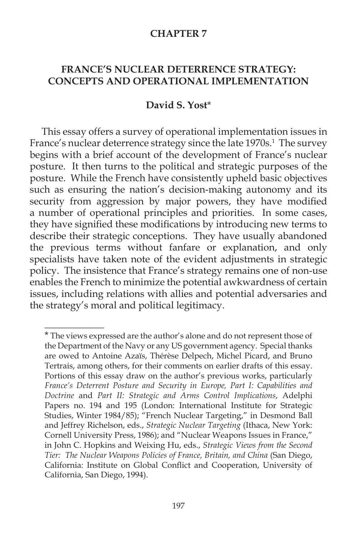#### **CHAPTER 7**

## **FRANCE'S NUCLEAR DETERRENCE STRATEGY: CONCEPTS AND OPERATIONAL IMPLEMENTATION**

#### **David S. Yost**\*

This essay offers a survey of operational implementation issues in France's nuclear deterrence strategy since the late 1970s.<sup>1</sup> The survey begins with a brief account of the development of France's nuclear posture. It then turns to the political and strategic purposes of the posture. While the French have consistently upheld basic objectives such as ensuring the nation's decision-making autonomy and its security from aggression by major powers, they have modified a number of operational principles and priorities. In some cases, they have signified these modifications by introducing new terms to describe their strategic conceptions. They have usually abandoned the previous terms without fanfare or explanation, and only specialists have taken note of the evident adjustments in strategic policy. The insistence that France's strategy remains one of non-use enables the French to minimize the potential awkwardness of certain issues, including relations with allies and potential adversaries and the strategy's moral and political legitimacy.

 $\overline{\phantom{a}}$ 

<sup>\*</sup> The views expressed are the author's alone and do not represent those of the Department of the Navy or any US government agency. Special thanks are owed to Antoine Azaïs, Thérèse Delpech, Michel Picard, and Bruno Tertrais, among others, for their comments on earlier drafts of this essay. Portions of this essay draw on the author's previous works, particularly *France's Deterrent Posture and Security in Europe, Part I: Capabilities and Doctrine* and *Part II: Strategic and Arms Control Implications*, Adelphi Papers no. 194 and 195 (London: International Institute for Strategic Studies, Winter 1984/85); "French Nuclear Targeting," in Desmond Ball and Jeffrey Richelson, eds., *Strategic Nuclear Targeting* (Ithaca, New York: Cornell University Press, 1986); and "Nuclear Weapons Issues in France," in John C. Hopkins and Weixing Hu, eds., *Strategic Views from the Second Tier: The Nuclear Weapons Policies of France, Britain, and China* (San Diego, California: Institute on Global Conflict and Cooperation, University of California, San Diego, 1994).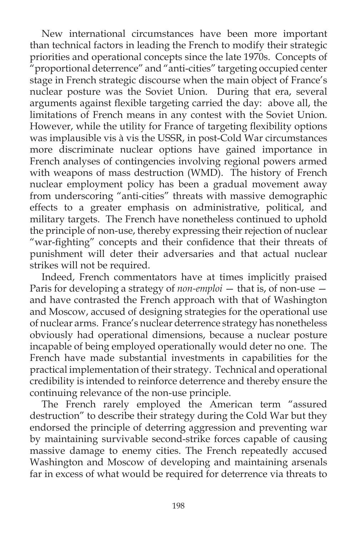New international circumstances have been more important than technical factors in leading the French to modify their strategic priorities and operational concepts since the late 1970s. Concepts of "proportional deterrence" and "anti-cities" targeting occupied center stage in French strategic discourse when the main object of France's nuclear posture was the Soviet Union. During that era, several arguments against flexible targeting carried the day: above all, the limitations of French means in any contest with the Soviet Union. However, while the utility for France of targeting flexibility options was implausible vis à vis the USSR, in post-Cold War circumstances more discriminate nuclear options have gained importance in French analyses of contingencies involving regional powers armed with weapons of mass destruction (WMD). The history of French nuclear employment policy has been a gradual movement away from underscoring "anti-cities" threats with massive demographic effects to a greater emphasis on administrative, political, and military targets. The French have nonetheless continued to uphold the principle of non-use, thereby expressing their rejection of nuclear "war-fighting" concepts and their confidence that their threats of punishment will deter their adversaries and that actual nuclear strikes will not be required.

Indeed, French commentators have at times implicitly praised Paris for developing a strategy of *non-emploi* — that is, of non-use and have contrasted the French approach with that of Washington and Moscow, accused of designing strategies for the operational use of nuclear arms. France's nuclear deterrence strategy has nonetheless obviously had operational dimensions, because a nuclear posture incapable of being employed operationally would deter no one. The French have made substantial investments in capabilities for the practical implementation of their strategy. Technical and operational credibility is intended to reinforce deterrence and thereby ensure the continuing relevance of the non-use principle.

The French rarely employed the American term "assured destruction" to describe their strategy during the Cold War but they endorsed the principle of deterring aggression and preventing war by maintaining survivable second-strike forces capable of causing massive damage to enemy cities. The French repeatedly accused Washington and Moscow of developing and maintaining arsenals far in excess of what would be required for deterrence via threats to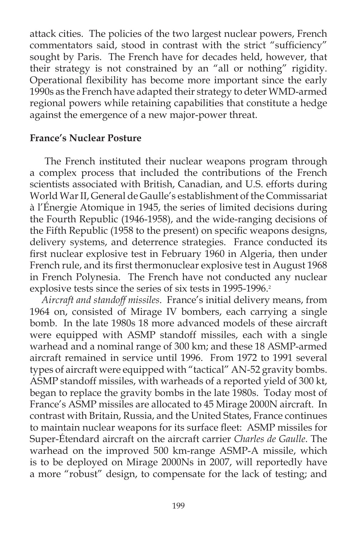attack cities. The policies of the two largest nuclear powers, French commentators said, stood in contrast with the strict "sufficiency" sought by Paris. The French have for decades held, however, that their strategy is not constrained by an "all or nothing" rigidity. Operational flexibility has become more important since the early 1990s as the French have adapted their strategy to deter WMD-armed regional powers while retaining capabilities that constitute a hedge against the emergence of a new major-power threat.

#### **France's Nuclear Posture**

The French instituted their nuclear weapons program through a complex process that included the contributions of the French scientists associated with British, Canadian, and U.S. efforts during World War II, General de Gaulle's establishment of the Commissariat à l'Énergie Atomique in 1945, the series of limited decisions during the Fourth Republic (1946-1958), and the wide-ranging decisions of the Fifth Republic (1958 to the present) on specific weapons designs, delivery systems, and deterrence strategies. France conducted its first nuclear explosive test in February 1960 in Algeria, then under French rule, and its first thermonuclear explosive test in August 1968 in French Polynesia. The French have not conducted any nuclear explosive tests since the series of six tests in 1995-1996.<sup>2</sup>

*Aircraft and standoff missiles*. France's initial delivery means, from 1964 on, consisted of Mirage IV bombers, each carrying a single bomb. In the late 1980s 18 more advanced models of these aircraft were equipped with ASMP standoff missiles, each with a single warhead and a nominal range of 300 km; and these 18 ASMP-armed aircraft remained in service until 1996. From 1972 to 1991 several types of aircraft were equipped with "tactical" AN-52 gravity bombs. ASMP standoff missiles, with warheads of a reported yield of 300 kt, began to replace the gravity bombs in the late 1980s. Today most of France's ASMP missiles are allocated to 45 Mirage 2000N aircraft. In contrast with Britain, Russia, and the United States, France continues to maintain nuclear weapons for its surface fleet: ASMP missiles for Super-Étendard aircraft on the aircraft carrier *Charles de Gaulle*. The warhead on the improved 500 km-range ASMP-A missile, which is to be deployed on Mirage 2000Ns in 2007, will reportedly have a more "robust" design, to compensate for the lack of testing; and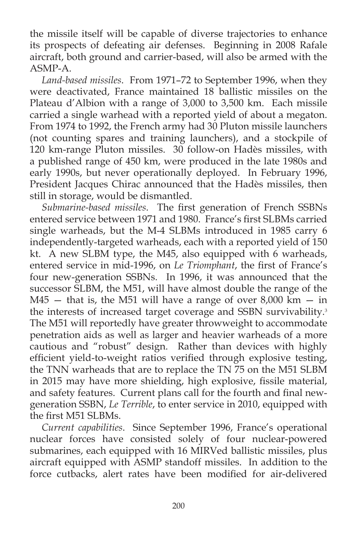the missile itself will be capable of diverse trajectories to enhance its prospects of defeating air defenses. Beginning in 2008 Rafale aircraft, both ground and carrier-based, will also be armed with the ASMP-A.

*Land-based missiles*. From 1971–72 to September 1996, when they were deactivated, France maintained 18 ballistic missiles on the Plateau d'Albion with a range of 3,000 to 3,500 km. Each missile carried a single warhead with a reported yield of about a megaton. From 1974 to 1992, the French army had 30 Pluton missile launchers (not counting spares and training launchers), and a stockpile of 120 km-range Pluton missiles. 30 follow-on Hadès missiles, with a published range of 450 km, were produced in the late 1980s and early 1990s, but never operationally deployed. In February 1996, President Jacques Chirac announced that the Hadès missiles, then still in storage, would be dismantled.

Submarine-based missiles. The first generation of French SSBNs entered service between 1971 and 1980. France's first SLBMs carried single warheads, but the M-4 SLBMs introduced in 1985 carry 6 independently-targeted warheads, each with a reported yield of 150 kt. A new SLBM type, the M45, also equipped with 6 warheads, entered service in mid-1996, on *Le Triomphant*, the first of France's four new-generation SSBNs. In 1996, it was announced that the successor SLBM, the M51, will have almost double the range of the M45 – that is, the M51 will have a range of over  $8,000 \text{ km} - \text{in}$ the interests of increased target coverage and SSBN survivability.<sup>3</sup> The M51 will reportedly have greater throwweight to accommodate penetration aids as well as larger and heavier warheads of a more cautious and "robust" design. Rather than devices with highly efficient yield-to-weight ratios verified through explosive testing, the TNN warheads that are to replace the TN 75 on the M51 SLBM in 2015 may have more shielding, high explosive, fissile material, and safety features. Current plans call for the fourth and final newgeneration SSBN, *Le Terrible*, to enter service in 2010, equipped with the first M51 SLBMs.

*Current capabilities*. Since September 1996, France's operational nuclear forces have consisted solely of four nuclear-powered submarines, each equipped with 16 MIRVed ballistic missiles, plus aircraft equipped with ASMP standoff missiles. In addition to the force cutbacks, alert rates have been modified for air-delivered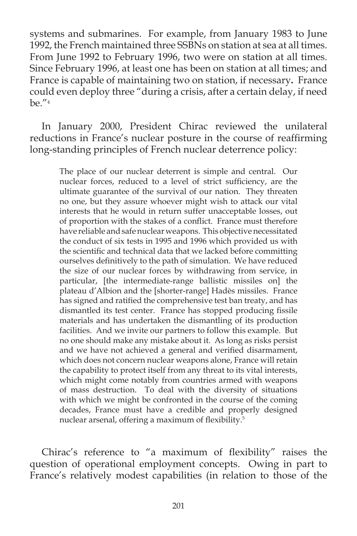systems and submarines. For example, from January 1983 to June 1992, the French maintained three SSBNs on station at sea at all times. From June 1992 to February 1996, two were on station at all times. Since February 1996, at least one has been on station at all times; and France is capable of maintaining two on station, if necessary**.** France could even deploy three "during a crisis, after a certain delay, if need be."4

In January 2000, President Chirac reviewed the unilateral reductions in France's nuclear posture in the course of reaffirming long-standing principles of French nuclear deterrence policy:

The place of our nuclear deterrent is simple and central. Our nuclear forces, reduced to a level of strict sufficiency, are the ultimate guarantee of the survival of our nation. They threaten no one, but they assure whoever might wish to attack our vital interests that he would in return suffer unacceptable losses, out of proportion with the stakes of a conflict. France must therefore have reliable and safe nuclear weapons. This objective necessitated the conduct of six tests in 1995 and 1996 which provided us with the scientific and technical data that we lacked before committing ourselves definitively to the path of simulation. We have reduced the size of our nuclear forces by withdrawing from service, in particular, [the intermediate-range ballistic missiles on] the plateau d'Albion and the [shorter-range] Hadès missiles. France has signed and ratified the comprehensive test ban treaty, and has dismantled its test center. France has stopped producing fissile materials and has undertaken the dismantling of its production facilities. And we invite our partners to follow this example. But no one should make any mistake about it. As long as risks persist and we have not achieved a general and verified disarmament, which does not concern nuclear weapons alone, France will retain the capability to protect itself from any threat to its vital interests, which might come notably from countries armed with weapons of mass destruction. To deal with the diversity of situations with which we might be confronted in the course of the coming decades, France must have a credible and properly designed nuclear arsenal, offering a maximum of flexibility.<sup>5</sup>

Chirac's reference to "a maximum of flexibility" raises the question of operational employment concepts. Owing in part to France's relatively modest capabilities (in relation to those of the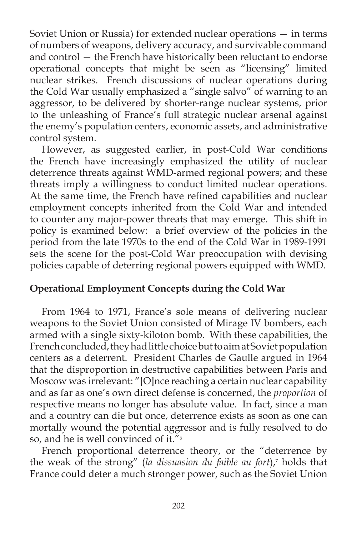Soviet Union or Russia) for extended nuclear operations — in terms of numbers of weapons, delivery accuracy, and survivable command and control — the French have historically been reluctant to endorse operational concepts that might be seen as "licensing" limited nuclear strikes. French discussions of nuclear operations during the Cold War usually emphasized a "single salvo" of warning to an aggressor, to be delivered by shorter-range nuclear systems, prior to the unleashing of France's full strategic nuclear arsenal against the enemy's population centers, economic assets, and administrative control system.

However, as suggested earlier, in post-Cold War conditions the French have increasingly emphasized the utility of nuclear deterrence threats against WMD-armed regional powers; and these threats imply a willingness to conduct limited nuclear operations. At the same time, the French have refined capabilities and nuclear employment concepts inherited from the Cold War and intended to counter any major-power threats that may emerge. This shift in policy is examined below: a brief overview of the policies in the period from the late 1970s to the end of the Cold War in 1989-1991 sets the scene for the post-Cold War preoccupation with devising policies capable of deterring regional powers equipped with WMD.

# **Operational Employment Concepts during the Cold War**

From 1964 to 1971, France's sole means of delivering nuclear weapons to the Soviet Union consisted of Mirage IV bombers, each armed with a single sixty-kiloton bomb. With these capabilities, the French concluded, they had little choice but to aim at Soviet population centers as a deterrent. President Charles de Gaulle argued in 1964 that the disproportion in destructive capabilities between Paris and Moscow was irrelevant: "[O]nce reaching a certain nuclear capability and as far as one's own direct defense is concerned, the *proportion* of respective means no longer has absolute value. In fact, since a man and a country can die but once, deterrence exists as soon as one can mortally wound the potential aggressor and is fully resolved to do so, and he is well convinced of it."6

French proportional deterrence theory, or the "deterrence by the weak of the strong" (*la dissuasion du faible au fort*),7 holds that France could deter a much stronger power, such as the Soviet Union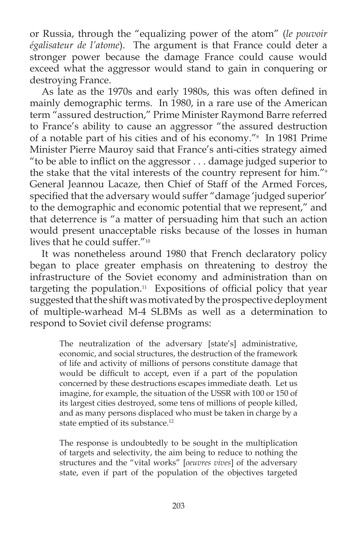or Russia, through the "equalizing power of the atom" (*le pouvoir égalisateur de l'atome*). The argument is that France could deter a stronger power because the damage France could cause would exceed what the aggressor would stand to gain in conquering or destroying France.

As late as the 1970s and early 1980s, this was often defined in mainly demographic terms. In 1980, in a rare use of the American term "assured destruction," Prime Minister Raymond Barre referred to France's ability to cause an aggressor "the assured destruction of a notable part of his cities and of his economy."8 In 1981 Prime Minister Pierre Mauroy said that France's anti-cities strategy aimed "to be able to inflict on the aggressor  $\ldots$  damage judged superior to the stake that the vital interests of the country represent for him."9 General Jeannou Lacaze, then Chief of Staff of the Armed Forces, specified that the adversary would suffer "damage 'judged superior' to the demographic and economic potential that we represent," and that deterrence is "a matter of persuading him that such an action would present unacceptable risks because of the losses in human lives that he could suffer."10

It was nonetheless around 1980 that French declaratory policy began to place greater emphasis on threatening to destroy the infrastructure of the Soviet economy and administration than on targeting the population. $11$  Expositions of official policy that year suggested that the shift was motivated by the prospective deployment of multiple-warhead M-4 SLBMs as well as a determination to respond to Soviet civil defense programs:

The neutralization of the adversary [state's] administrative, economic, and social structures, the destruction of the framework of life and activity of millions of persons constitute damage that would be difficult to accept, even if a part of the population concerned by these destructions escapes immediate death. Let us imagine, for example, the situation of the USSR with 100 or 150 of its largest cities destroyed, some tens of millions of people killed, and as many persons displaced who must be taken in charge by a state emptied of its substance.<sup>12</sup>

The response is undoubtedly to be sought in the multiplication of targets and selectivity, the aim being to reduce to nothing the structures and the "vital works" [*oeuvres vives*] of the adversary state, even if part of the population of the objectives targeted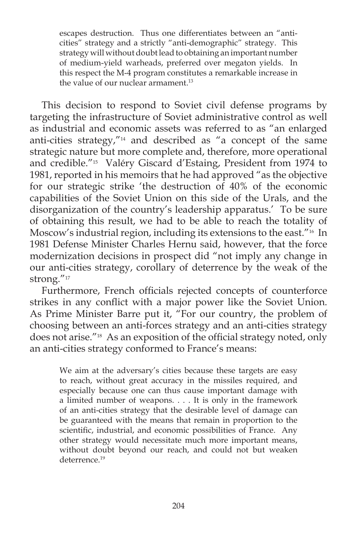escapes destruction. Thus one differentiates between an "anticities" strategy and a strictly "anti-demographic" strategy. This strategy will without doubt lead to obtaining an important number of medium-yield warheads, preferred over megaton yields. In this respect the M-4 program constitutes a remarkable increase in the value of our nuclear armament.<sup>13</sup>

 This decision to respond to Soviet civil defense programs by targeting the infrastructure of Soviet administrative control as well as industrial and economic assets was referred to as "an enlarged anti-cities strategy,"14 and described as "a concept of the same strategic nature but more complete and, therefore, more operational and credible."15 Valéry Giscard d'Estaing, President from 1974 to 1981, reported in his memoirs that he had approved "as the objective for our strategic strike 'the destruction of 40% of the economic capabilities of the Soviet Union on this side of the Urals, and the disorganization of the country's leadership apparatus.' To be sure of obtaining this result, we had to be able to reach the totality of Moscow's industrial region, including its extensions to the east."16 In 1981 Defense Minister Charles Hernu said, however, that the force modernization decisions in prospect did "not imply any change in our anti-cities strategy, corollary of deterrence by the weak of the strong."17

Furthermore, French officials rejected concepts of counterforce strikes in any conflict with a major power like the Soviet Union. As Prime Minister Barre put it, "For our country, the problem of choosing between an anti-forces strategy and an anti-cities strategy does not arise."<sup>18</sup> As an exposition of the official strategy noted, only an anti-cities strategy conformed to France's means:

We aim at the adversary's cities because these targets are easy to reach, without great accuracy in the missiles required, and especially because one can thus cause important damage with a limited number of weapons. . . . It is only in the framework of an anti-cities strategy that the desirable level of damage can be guaranteed with the means that remain in proportion to the scientific, industrial, and economic possibilities of France. Any other strategy would necessitate much more important means, without doubt beyond our reach, and could not but weaken deterrence.<sup>19</sup>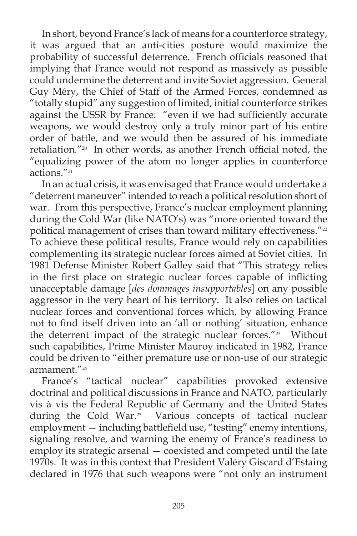In short, beyond France's lack of means for a counterforce strategy, it was argued that an anti-cities posture would maximize the probability of successful deterrence. French officials reasoned that implying that France would not respond as massively as possible could undermine the deterrent and invite Soviet aggression. General Guy Méry, the Chief of Staff of the Armed Forces, condemned as "totally stupid" any suggestion of limited, initial counterforce strikes against the USSR by France: "even if we had sufficiently accurate weapons, we would destroy only a truly minor part of his entire order of battle, and we would then be assured of his immediate retaliation."<sup>20</sup> In other words, as another French official noted, the "equalizing power of the atom no longer applies in counterforce actions."21

In an actual crisis, it was envisaged that France would undertake a "deterrent maneuver" intended to reach a political resolution short of war. From this perspective, France's nuclear employment planning during the Cold War (like NATO's) was "more oriented toward the political management of crises than toward military effectiveness."<sup>22</sup> To achieve these political results, France would rely on capabilities complementing its strategic nuclear forces aimed at Soviet cities. In 1981 Defense Minister Robert Galley said that "This strategy relies in the first place on strategic nuclear forces capable of inflicting unacceptable damage [*des dommages insupportables*] on any possible aggressor in the very heart of his territory. It also relies on tactical nuclear forces and conventional forces which, by allowing France not to find itself driven into an 'all or nothing' situation, enhance the deterrent impact of the strategic nuclear forces."<sup>23</sup> Without such capabilities, Prime Minister Mauroy indicated in 1982, France could be driven to "either premature use or non-use of our strategic armament."24

France's "tactical nuclear" capabilities provoked extensive doctrinal and political discussions in France and NATO, particularly vis à vis the Federal Republic of Germany and the United States during the Cold War.<sup>25</sup> Various concepts of tactical nuclear  $employ$  ment  $-$  including battlefield use, "testing" enemy intentions, signaling resolve, and warning the enemy of France's readiness to employ its strategic arsenal — coexisted and competed until the late 1970s. It was in this context that President Valéry Giscard d'Estaing declared in 1976 that such weapons were "not only an instrument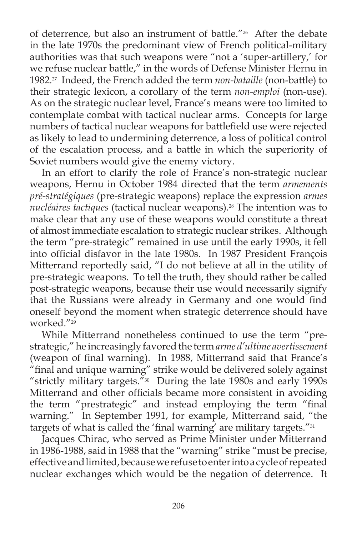of deterrence, but also an instrument of battle."<sup>26</sup> After the debate in the late 1970s the predominant view of French political-military authorities was that such weapons were "not a 'super-artillery,' for we refuse nuclear battle," in the words of Defense Minister Hernu in 1982.27 Indeed, the French added the term *non-bataille* (non-battle) to their strategic lexicon, a corollary of the term *non-emploi* (non-use). As on the strategic nuclear level, France's means were too limited to contemplate combat with tactical nuclear arms. Concepts for large numbers of tactical nuclear weapons for battlefield use were rejected as likely to lead to undermining deterrence, a loss of political control of the escalation process, and a battle in which the superiority of Soviet numbers would give the enemy victory.

 In an effort to clarify the role of France's non-strategic nuclear weapons, Hernu in October 1984 directed that the term *armements pré-stratégiques* (pre-strategic weapons) replace the expression *armes nucléaires tactiques* (tactical nuclear weapons).28 The intention was to make clear that any use of these weapons would constitute a threat of almost immediate escalation to strategic nuclear strikes. Although the term "pre-strategic" remained in use until the early 1990s, it fell into official disfavor in the late 1980s. In 1987 President Francois Mitterrand reportedly said, "I do not believe at all in the utility of pre-strategic weapons. To tell the truth, they should rather be called post-strategic weapons, because their use would necessarily signify that the Russians were already in Germany and one would find oneself beyond the moment when strategic deterrence should have worked<sup>"29</sup>

While Mitterrand nonetheless continued to use the term "prestrategic," he increasingly favored the term *arme d'ultime avertissement* (weapon of final warning). In 1988, Mitterrand said that France's "final and unique warning" strike would be delivered solely against "strictly military targets."30 During the late 1980s and early 1990s Mitterrand and other officials became more consistent in avoiding the term "prestrategic" and instead employing the term "final warning." In September 1991, for example, Mitterrand said, "the targets of what is called the 'final warning' are military targets."<sup>31</sup>

Jacques Chirac, who served as Prime Minister under Mitterrand in 1986-1988, said in 1988 that the "warning" strike "must be precise, effective and limited, because we refuse to enter into a cycle of repeated nuclear exchanges which would be the negation of deterrence. It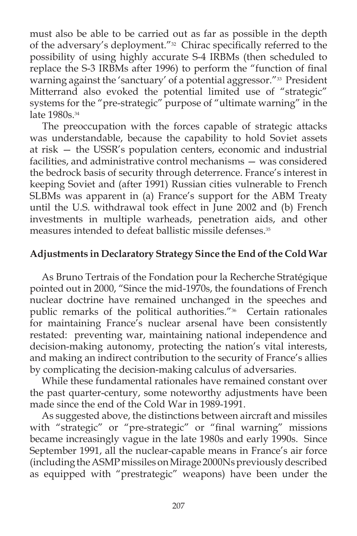must also be able to be carried out as far as possible in the depth of the adversary's deployment."<sup>32</sup> Chirac specifically referred to the possibility of using highly accurate S-4 IRBMs (then scheduled to replace the S-3 IRBMs after 1996) to perform the "function of final warning against the 'sanctuary' of a potential aggressor."<sup>33</sup> President Mitterrand also evoked the potential limited use of "strategic" systems for the "pre-strategic" purpose of "ultimate warning" in the late 1980s.<sup>34</sup>

 The preoccupation with the forces capable of strategic attacks was understandable, because the capability to hold Soviet assets at risk — the USSR's population centers, economic and industrial facilities, and administrative control mechanisms — was considered the bedrock basis of security through deterrence. France's interest in keeping Soviet and (after 1991) Russian cities vulnerable to French SLBMs was apparent in (a) France's support for the ABM Treaty until the U.S. withdrawal took effect in June 2002 and (b) French investments in multiple warheads, penetration aids, and other measures intended to defeat ballistic missile defenses.<sup>35</sup>

## **Adjustments in Declaratory Strategy Since the End of the Cold War**

As Bruno Tertrais of the Fondation pour la Recherche Stratégique pointed out in 2000, "Since the mid-1970s, the foundations of French nuclear doctrine have remained unchanged in the speeches and public remarks of the political authorities."<sup>36</sup> Certain rationales for maintaining France's nuclear arsenal have been consistently restated: preventing war, maintaining national independence and decision-making autonomy, protecting the nation's vital interests, and making an indirect contribution to the security of France's allies by complicating the decision-making calculus of adversaries.

While these fundamental rationales have remained constant over the past quarter-century, some noteworthy adjustments have been made since the end of the Cold War in 1989-1991.

As suggested above, the distinctions between aircraft and missiles with "strategic" or "pre-strategic" or "final warning" missions became increasingly vague in the late 1980s and early 1990s. Since September 1991, all the nuclear-capable means in France's air force (including the ASMP missiles on Mirage 2000Ns previously described as equipped with "prestrategic" weapons) have been under the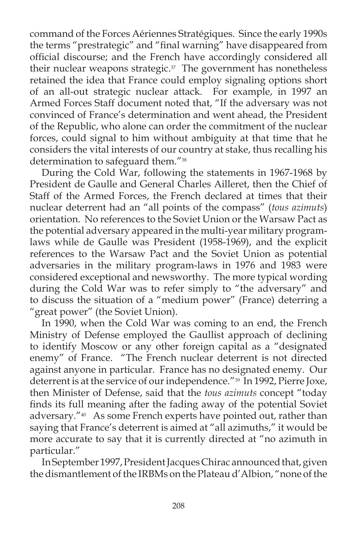command of the Forces Aériennes Stratégiques. Since the early 1990s the terms "prestrategic" and "final warning" have disappeared from official discourse; and the French have accordingly considered all their nuclear weapons strategic.<sup>37</sup> The government has nonetheless retained the idea that France could employ signaling options short of an all-out strategic nuclear attack. For example, in 1997 an Armed Forces Staff document noted that, "If the adversary was not convinced of France's determination and went ahead, the President of the Republic, who alone can order the commitment of the nuclear forces, could signal to him without ambiguity at that time that he considers the vital interests of our country at stake, thus recalling his determination to safeguard them."38

During the Cold War, following the statements in 1967-1968 by President de Gaulle and General Charles Ailleret, then the Chief of Staff of the Armed Forces, the French declared at times that their nuclear deterrent had an "all points of the compass" (*tous azimuts*) orientation. No references to the Soviet Union or the Warsaw Pact as the potential adversary appeared in the multi-year military programlaws while de Gaulle was President (1958-1969), and the explicit references to the Warsaw Pact and the Soviet Union as potential adversaries in the military program-laws in 1976 and 1983 were considered exceptional and newsworthy. The more typical wording during the Cold War was to refer simply to "the adversary" and to discuss the situation of a "medium power" (France) deterring a "great power" (the Soviet Union).

In 1990, when the Cold War was coming to an end, the French Ministry of Defense employed the Gaullist approach of declining to identify Moscow or any other foreign capital as a "designated enemy" of France. "The French nuclear deterrent is not directed against anyone in particular. France has no designated enemy. Our deterrent is at the service of our independence."<sup>39</sup> In 1992, Pierre Joxe, then Minister of Defense, said that the *tous azimuts* concept "today finds its full meaning after the fading away of the potential Soviet adversary."40 As some French experts have pointed out, rather than saying that France's deterrent is aimed at "all azimuths," it would be more accurate to say that it is currently directed at "no azimuth in particular."

In September 1997, President Jacques Chirac announced that, given the dismantlement of the IRBMs on the Plateau d'Albion, "none of the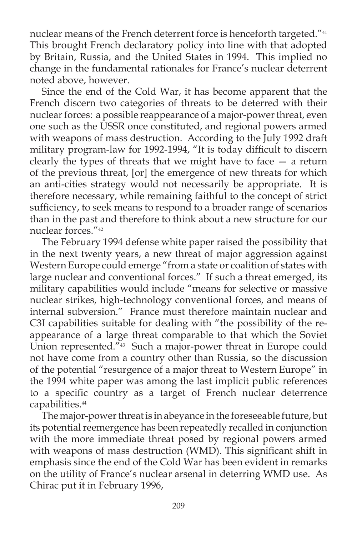nuclear means of the French deterrent force is henceforth targeted."<sup>41</sup> This brought French declaratory policy into line with that adopted by Britain, Russia, and the United States in 1994. This implied no change in the fundamental rationales for France's nuclear deterrent noted above, however.

Since the end of the Cold War, it has become apparent that the French discern two categories of threats to be deterred with their nuclear forces: a possible reappearance of a major-power threat, even one such as the USSR once constituted, and regional powers armed with weapons of mass destruction. According to the July 1992 draft military program-law for 1992-1994, "It is today difficult to discern clearly the types of threats that we might have to face — a return of the previous threat, [or] the emergence of new threats for which an anti-cities strategy would not necessarily be appropriate. It is therefore necessary, while remaining faithful to the concept of strict sufficiency, to seek means to respond to a broader range of scenarios than in the past and therefore to think about a new structure for our nuclear forces."42

The February 1994 defense white paper raised the possibility that in the next twenty years, a new threat of major aggression against Western Europe could emerge "from a state or coalition of states with large nuclear and conventional forces." If such a threat emerged, its military capabilities would include "means for selective or massive nuclear strikes, high-technology conventional forces, and means of internal subversion." France must therefore maintain nuclear and C3I capabilities suitable for dealing with "the possibility of the reappearance of a large threat comparable to that which the Soviet Union represented."<sup>43</sup> Such a major-power threat in Europe could not have come from a country other than Russia, so the discussion of the potential "resurgence of a major threat to Western Europe" in the 1994 white paper was among the last implicit public references to a specific country as a target of French nuclear deterrence capabilities.<sup>44</sup>

The major-power threat is in abeyance in the foreseeable future, but its potential reemergence has been repeatedly recalled in conjunction with the more immediate threat posed by regional powers armed with weapons of mass destruction (WMD). This significant shift in emphasis since the end of the Cold War has been evident in remarks on the utility of France's nuclear arsenal in deterring WMD use. As Chirac put it in February 1996,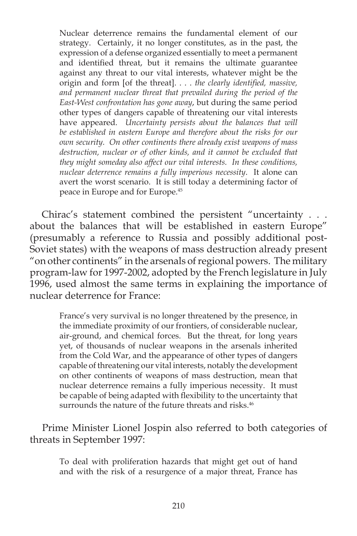Nuclear deterrence remains the fundamental element of our strategy. Certainly, it no longer constitutes, as in the past, the expression of a defense organized essentially to meet a permanent and identified threat, but it remains the ultimate guarantee against any threat to our vital interests, whatever might be the origin and form [of the threat]. . . . *the clearly identified, massive, and permanent nuclear threat that prevailed during the period of the East-West confrontation has gone away*, but during the same period other types of dangers capable of threatening our vital interests have appeared. *Uncertainty persists about the balances that will be established in eastern Europe and therefore about the risks for our own security. On other continents there already exist weapons of mass destruction, nuclear or of other kinds, and it cannot be excluded that they might someday also affect our vital interests. In these conditions, nuclear deterrence remains a fully imperious necessity*. It alone can avert the worst scenario. It is still today a determining factor of peace in Europe and for Europe.45

Chirac's statement combined the persistent "uncertainty . . . about the balances that will be established in eastern Europe" (presumably a reference to Russia and possibly additional post-Soviet states) with the weapons of mass destruction already present "on other continents" in the arsenals of regional powers. The military program-law for 1997-2002, adopted by the French legislature in July 1996, used almost the same terms in explaining the importance of nuclear deterrence for France:

France's very survival is no longer threatened by the presence, in the immediate proximity of our frontiers, of considerable nuclear, air-ground, and chemical forces. But the threat, for long years yet, of thousands of nuclear weapons in the arsenals inherited from the Cold War, and the appearance of other types of dangers capable of threatening our vital interests, notably the development on other continents of weapons of mass destruction, mean that nuclear deterrence remains a fully imperious necessity. It must be capable of being adapted with flexibility to the uncertainty that surrounds the nature of the future threats and risks.<sup>46</sup>

Prime Minister Lionel Jospin also referred to both categories of threats in September 1997:

> To deal with proliferation hazards that might get out of hand and with the risk of a resurgence of a major threat, France has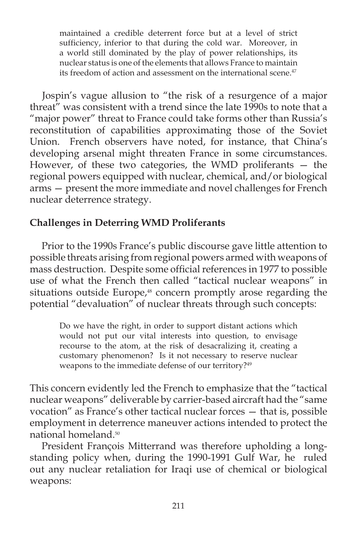maintained a credible deterrent force but at a level of strict sufficiency, inferior to that during the cold war. Moreover, in a world still dominated by the play of power relationships, its nuclear status is one of the elements that allows France to maintain its freedom of action and assessment on the international scene.<sup>47</sup>

Jospin's vague allusion to "the risk of a resurgence of a major threat" was consistent with a trend since the late 1990s to note that a "major power" threat to France could take forms other than Russia's reconstitution of capabilities approximating those of the Soviet Union. French observers have noted, for instance, that China's developing arsenal might threaten France in some circumstances. However, of these two categories, the WMD proliferants — the regional powers equipped with nuclear, chemical, and/or biological arms — present the more immediate and novel challenges for French nuclear deterrence strategy.

# **Challenges in Deterring WMD Proliferants**

Prior to the 1990s France's public discourse gave little attention to possible threats arising from regional powers armed with weapons of mass destruction. Despite some official references in 1977 to possible use of what the French then called "tactical nuclear weapons" in situations outside Europe,<sup>48</sup> concern promptly arose regarding the potential "devaluation" of nuclear threats through such concepts:

Do we have the right, in order to support distant actions which would not put our vital interests into question, to envisage recourse to the atom, at the risk of desacralizing it, creating a customary phenomenon? Is it not necessary to reserve nuclear weapons to the immediate defense of our territory?<sup>49</sup>

This concern evidently led the French to emphasize that the "tactical nuclear weapons" deliverable by carrier-based aircraft had the "same vocation" as France's other tactical nuclear forces — that is, possible employment in deterrence maneuver actions intended to protect the national homeland.50

President François Mitterrand was therefore upholding a longstanding policy when, during the 1990-1991 Gulf War, he ruled out any nuclear retaliation for Iraqi use of chemical or biological weapons: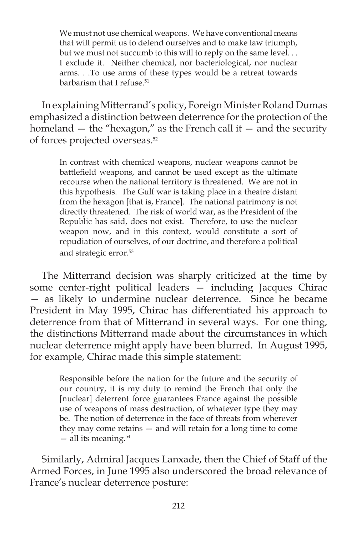We must not use chemical weapons. We have conventional means that will permit us to defend ourselves and to make law triumph, but we must not succumb to this will to reply on the same level. . . I exclude it. Neither chemical, nor bacteriological, nor nuclear arms. . .To use arms of these types would be a retreat towards barbarism that I refuse.<sup>51</sup>

In explaining Mitterrand's policy, Foreign Minister Roland Dumas emphasized a distinction between deterrence for the protection of the homeland  $-$  the "hexagon," as the French call it  $-$  and the security of forces projected overseas.52

In contrast with chemical weapons, nuclear weapons cannot be battlefield weapons, and cannot be used except as the ultimate recourse when the national territory is threatened. We are not in this hypothesis. The Gulf war is taking place in a theatre distant from the hexagon [that is, France]. The national patrimony is not directly threatened. The risk of world war, as the President of the Republic has said, does not exist. Therefore, to use the nuclear weapon now, and in this context, would constitute a sort of repudiation of ourselves, of our doctrine, and therefore a political and strategic error.<sup>53</sup>

The Mitterrand decision was sharply criticized at the time by some center-right political leaders — including Jacques Chirac — as likely to undermine nuclear deterrence. Since he became President in May 1995, Chirac has differentiated his approach to deterrence from that of Mitterrand in several ways. For one thing, the distinctions Mitterrand made about the circumstances in which nuclear deterrence might apply have been blurred. In August 1995, for example, Chirac made this simple statement:

Responsible before the nation for the future and the security of our country, it is my duty to remind the French that only the [nuclear] deterrent force guarantees France against the possible use of weapons of mass destruction, of whatever type they may be. The notion of deterrence in the face of threats from wherever they may come retains — and will retain for a long time to come — all its meaning.54

Similarly, Admiral Jacques Lanxade, then the Chief of Staff of the Armed Forces, in June 1995 also underscored the broad relevance of France's nuclear deterrence posture: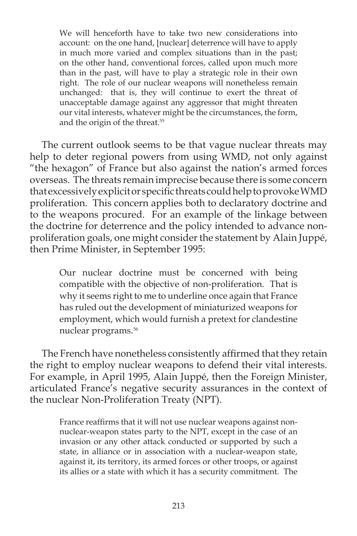We will henceforth have to take two new considerations into account: on the one hand, [nuclear] deterrence will have to apply in much more varied and complex situations than in the past; on the other hand, conventional forces, called upon much more than in the past, will have to play a strategic role in their own right. The role of our nuclear weapons will nonetheless remain unchanged: that is, they will continue to exert the threat of unacceptable damage against any aggressor that might threaten our vital interests, whatever might be the circumstances, the form, and the origin of the threat.<sup>55</sup>

The current outlook seems to be that vague nuclear threats may help to deter regional powers from using WMD, not only against "the hexagon" of France but also against the nation's armed forces overseas. The threats remain imprecise because there is some concern that excessively explicit or specific threats could help to provoke WMD proliferation. This concern applies both to declaratory doctrine and to the weapons procured. For an example of the linkage between the doctrine for deterrence and the policy intended to advance nonproliferation goals, one might consider the statement by Alain Juppé, then Prime Minister, in September 1995:

Our nuclear doctrine must be concerned with being compatible with the objective of non-proliferation. That is why it seems right to me to underline once again that France has ruled out the development of miniaturized weapons for employment, which would furnish a pretext for clandestine nuclear programs. 56

The French have nonetheless consistently affirmed that they retain the right to employ nuclear weapons to defend their vital interests. For example, in April 1995, Alain Juppé, then the Foreign Minister, articulated France's negative security assurances in the context of the nuclear Non-Proliferation Treaty (NPT).

France reaffirms that it will not use nuclear weapons against nonnuclear-weapon states party to the NPT, except in the case of an invasion or any other attack conducted or supported by such a state, in alliance or in association with a nuclear-weapon state, against it, its territory, its armed forces or other troops, or against its allies or a state with which it has a security commitment. The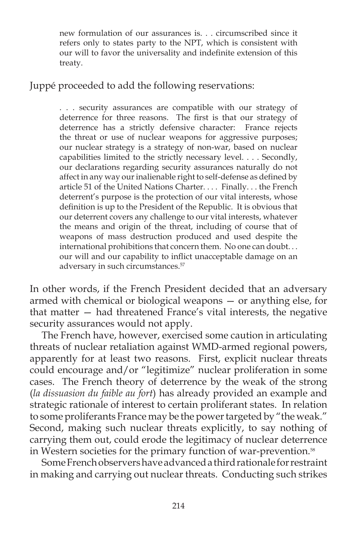new formulation of our assurances is. . . circumscribed since it refers only to states party to the NPT, which is consistent with our will to favor the universality and indefinite extension of this treaty.

Juppé proceeded to add the following reservations:

. . . security assurances are compatible with our strategy of deterrence for three reasons. The first is that our strategy of deterrence has a strictly defensive character: France rejects the threat or use of nuclear weapons for aggressive purposes; our nuclear strategy is a strategy of non-war, based on nuclear capabilities limited to the strictly necessary level. . . . Secondly, our declarations regarding security assurances naturally do not affect in any way our inalienable right to self-defense as defined by article 51 of the United Nations Charter. . . . Finally. . . the French deterrent's purpose is the protection of our vital interests, whose definition is up to the President of the Republic. It is obvious that our deterrent covers any challenge to our vital interests, whatever the means and origin of the threat, including of course that of weapons of mass destruction produced and used despite the international prohibitions that concern them. No one can doubt. . . our will and our capability to inflict unacceptable damage on an adversary in such circumstances.57

In other words, if the French President decided that an adversary armed with chemical or biological weapons — or anything else, for that matter — had threatened France's vital interests, the negative security assurances would not apply.

The French have, however, exercised some caution in articulating threats of nuclear retaliation against WMD-armed regional powers, apparently for at least two reasons. First, explicit nuclear threats could encourage and/or "legitimize" nuclear proliferation in some cases. The French theory of deterrence by the weak of the strong (*la dissuasion du faible au fort*) has already provided an example and strategic rationale of interest to certain proliferant states. In relation to some proliferants France may be the power targeted by "the weak." Second, making such nuclear threats explicitly, to say nothing of carrying them out, could erode the legitimacy of nuclear deterrence in Western societies for the primary function of war-prevention.<sup>58</sup>

Some French observers have advanced a third rationale for restraint in making and carrying out nuclear threats.Conducting such strikes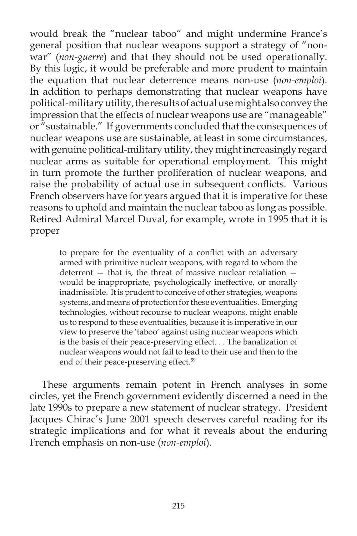would break the "nuclear taboo" and might undermine France's general position that nuclear weapons support a strategy of "nonwar" (*non-guerre*) and that they should not be used operationally. By this logic, it would be preferable and more prudent to maintain the equation that nuclear deterrence means non-use (*non-emploi*). In addition to perhaps demonstrating that nuclear weapons have political-military utility, the results of actual use might also convey the impression that the effects of nuclear weapons use are "manageable" or "sustainable." If governments concluded that the consequences of nuclear weapons use are sustainable, at least in some circumstances, with genuine political-military utility, they might increasingly regard nuclear arms as suitable for operational employment. This might in turn promote the further proliferation of nuclear weapons, and raise the probability of actual use in subsequent conflicts. Various French observers have for years argued that it is imperative for these reasons to uphold and maintain the nuclear taboo as long as possible. Retired Admiral Marcel Duval, for example, wrote in 1995 that it is proper

to prepare for the eventuality of a conflict with an adversary armed with primitive nuclear weapons, with regard to whom the deterrent — that is, the threat of massive nuclear retaliation would be inappropriate, psychologically ineffective, or morally inadmissible. It is prudent to conceive of other strategies, weapons systems, and means of protection for these eventualities. Emerging technologies, without recourse to nuclear weapons, might enable us to respond to these eventualities, because it is imperative in our view to preserve the 'taboo' against using nuclear weapons which is the basis of their peace-preserving effect. . . The banalization of nuclear weapons would not fail to lead to their use and then to the end of their peace-preserving effect.<sup>59</sup>

These arguments remain potent in French analyses in some circles, yet the French government evidently discerned a need in the late 1990s to prepare a new statement of nuclear strategy. President Jacques Chirac's June 2001 speech deserves careful reading for its strategic implications and for what it reveals about the enduring French emphasis on non-use (*non-emploi*).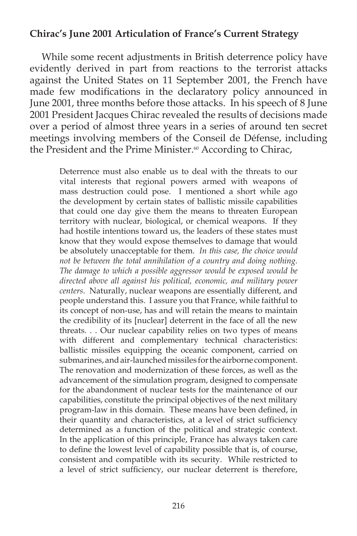## **Chirac's June 2001 Articulation of France's Current Strategy**

While some recent adjustments in British deterrence policy have evidently derived in part from reactions to the terrorist attacks against the United States on 11 September 2001, the French have made few modifications in the declaratory policy announced in June 2001, three months before those attacks. In his speech of 8 June 2001 President Jacques Chirac revealed the results of decisions made over a period of almost three years in a series of around ten secret meetings involving members of the Conseil de Défense, including the President and the Prime Minister.<sup>60</sup> According to Chirac,

> Deterrence must also enable us to deal with the threats to our vital interests that regional powers armed with weapons of mass destruction could pose. I mentioned a short while ago the development by certain states of ballistic missile capabilities that could one day give them the means to threaten European territory with nuclear, biological, or chemical weapons. If they had hostile intentions toward us, the leaders of these states must know that they would expose themselves to damage that would be absolutely unacceptable for them. *In this case, the choice would not be between the total annihilation of a country and doing nothing. The damage to which a possible aggressor would be exposed would be directed above all against his political, economic, and military power centers*. Naturally, nuclear weapons are essentially different, and people understand this. I assure you that France, while faithful to its concept of non-use, has and will retain the means to maintain the credibility of its [nuclear] deterrent in the face of all the new threats. . . Our nuclear capability relies on two types of means with different and complementary technical characteristics: ballistic missiles equipping the oceanic component, carried on submarines, and air-launched missiles for the airborne component. The renovation and modernization of these forces, as well as the advancement of the simulation program, designed to compensate for the abandonment of nuclear tests for the maintenance of our capabilities, constitute the principal objectives of the next military program-law in this domain. These means have been defined, in their quantity and characteristics, at a level of strict sufficiency determined as a function of the political and strategic context. In the application of this principle, France has always taken care to define the lowest level of capability possible that is, of course, consistent and compatible with its security. While restricted to a level of strict sufficiency, our nuclear deterrent is therefore,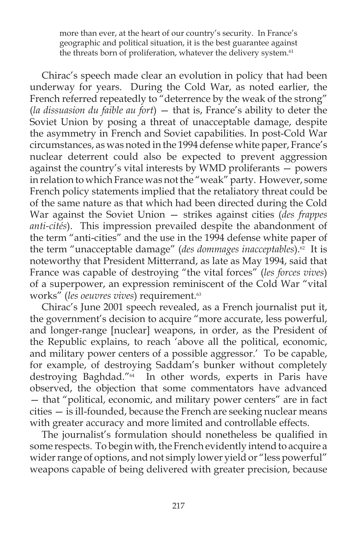more than ever, at the heart of our country's security. In France's geographic and political situation, it is the best guarantee against the threats born of proliferation, whatever the delivery system.<sup>61</sup>

Chirac's speech made clear an evolution in policy that had been underway for years. During the Cold War, as noted earlier, the French referred repeatedly to "deterrence by the weak of the strong" (*la dissuasion du faible au fort*) — that is, France's ability to deter the Soviet Union by posing a threat of unacceptable damage, despite the asymmetry in French and Soviet capabilities. In post-Cold War circumstances, as was noted in the 1994 defense white paper, France's nuclear deterrent could also be expected to prevent aggression against the country's vital interests by WMD proliferants — powers in relation to which France was not the "weak" party. However, some French policy statements implied that the retaliatory threat could be of the same nature as that which had been directed during the Cold War against the Soviet Union — strikes against cities (*des frappes anti-cités*). This impression prevailed despite the abandonment of the term "anti-cities" and the use in the 1994 defense white paper of the term "unacceptable damage" (*des dommages inacceptables*). $\frac{a}{2}$  It is noteworthy that President Mitterrand, as late as May 1994, said that France was capable of destroying "the vital forces" (*les forces vives*) of a superpower, an expression reminiscent of the Cold War "vital works" (*les oeuvres vives*) requirement.63

Chirac's June 2001 speech revealed, as a French journalist put it, the government's decision to acquire "more accurate, less powerful, and longer-range [nuclear] weapons, in order, as the President of the Republic explains, to reach 'above all the political, economic, and military power centers of a possible aggressor.' To be capable, for example, of destroying Saddam's bunker without completely destroying Baghdad."64 In other words, experts in Paris have observed, the objection that some commentators have advanced — that "political, economic, and military power centers" are in fact cities — is ill-founded, because the French are seeking nuclear means with greater accuracy and more limited and controllable effects.

The journalist's formulation should nonetheless be qualified in some respects. To begin with, the French evidently intend to acquire a wider range of options, and not simply lower yield or "less powerful" weapons capable of being delivered with greater precision, because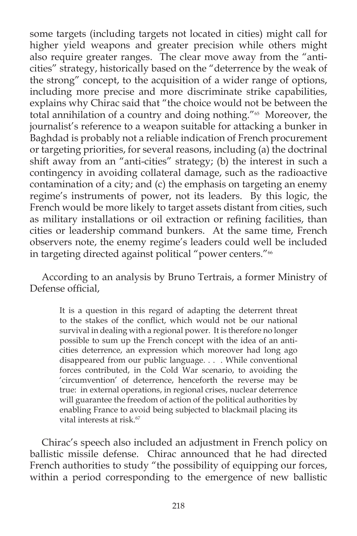some targets (including targets not located in cities) might call for higher yield weapons and greater precision while others might also require greater ranges. The clear move away from the "anticities" strategy, historically based on the "deterrence by the weak of the strong" concept, to the acquisition of a wider range of options, including more precise and more discriminate strike capabilities, explains why Chirac said that "the choice would not be between the total annihilation of a country and doing nothing."<sup>65</sup> Moreover, the journalist's reference to a weapon suitable for attacking a bunker in Baghdad is probably not a reliable indication of French procurement or targeting priorities, for several reasons, including (a) the doctrinal shift away from an "anti-cities" strategy; (b) the interest in such a contingency in avoiding collateral damage, such as the radioactive contamination of a city; and (c) the emphasis on targeting an enemy regime's instruments of power, not its leaders. By this logic, the French would be more likely to target assets distant from cities, such as military installations or oil extraction or refining facilities, than cities or leadership command bunkers. At the same time, French observers note, the enemy regime's leaders could well be included in targeting directed against political "power centers."<sup>66</sup>

According to an analysis by Bruno Tertrais, a former Ministry of Defense official.

It is a question in this regard of adapting the deterrent threat to the stakes of the conflict, which would not be our national survival in dealing with a regional power. It is therefore no longer possible to sum up the French concept with the idea of an anticities deterrence, an expression which moreover had long ago disappeared from our public language. . . . While conventional forces contributed, in the Cold War scenario, to avoiding the 'circumvention' of deterrence, henceforth the reverse may be true: in external operations, in regional crises, nuclear deterrence will guarantee the freedom of action of the political authorities by enabling France to avoid being subjected to blackmail placing its vital interests at risk.<sup>67</sup>

Chirac's speech also included an adjustment in French policy on ballistic missile defense. Chirac announced that he had directed French authorities to study "the possibility of equipping our forces, within a period corresponding to the emergence of new ballistic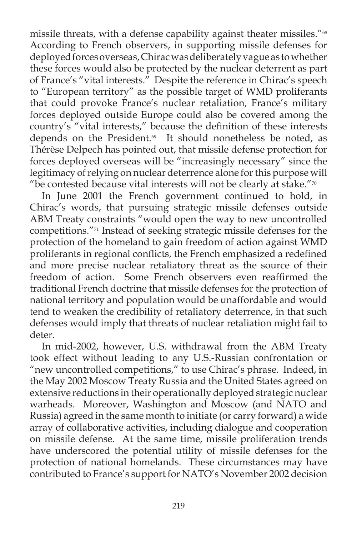missile threats, with a defense capability against theater missiles."<sup>68</sup> According to French observers, in supporting missile defenses for deployed forces overseas, Chirac was deliberately vague as to whether these forces would also be protected by the nuclear deterrent as part of France's "vital interests." Despite the reference in Chirac's speech to "European territory" as the possible target of WMD proliferants that could provoke France's nuclear retaliation, France's military forces deployed outside Europe could also be covered among the country's "vital interests," because the definition of these interests depends on the President.<sup>69</sup> It should nonetheless be noted, as Thérèse Delpech has pointed out, that missile defense protection for forces deployed overseas will be "increasingly necessary" since the legitimacy of relying on nuclear deterrence alone for this purpose will "be contested because vital interests will not be clearly at stake." $\frac{7}{0}$ 

In June 2001 the French government continued to hold, in Chirac's words, that pursuing strategic missile defenses outside ABM Treaty constraints "would open the way to new uncontrolled competitions."71 Instead of seeking strategic missile defenses for the protection of the homeland to gain freedom of action against WMD proliferants in regional conflicts, the French emphasized a redefined and more precise nuclear retaliatory threat as the source of their freedom of action. Some French observers even reaffirmed the traditional French doctrine that missile defenses for the protection of national territory and population would be unaffordable and would tend to weaken the credibility of retaliatory deterrence, in that such defenses would imply that threats of nuclear retaliation might fail to deter.

In mid-2002, however, U.S. withdrawal from the ABM Treaty took effect without leading to any U.S.-Russian confrontation or "new uncontrolled competitions," to use Chirac's phrase. Indeed, in the May 2002 Moscow Treaty Russia and the United States agreed on extensive reductions in their operationally deployed strategic nuclear warheads. Moreover, Washington and Moscow (and NATO and Russia) agreed in the same month to initiate (or carry forward) a wide array of collaborative activities, including dialogue and cooperation on missile defense. At the same time, missile proliferation trends have underscored the potential utility of missile defenses for the protection of national homelands. These circumstances may have contributed to France's support for NATO's November 2002 decision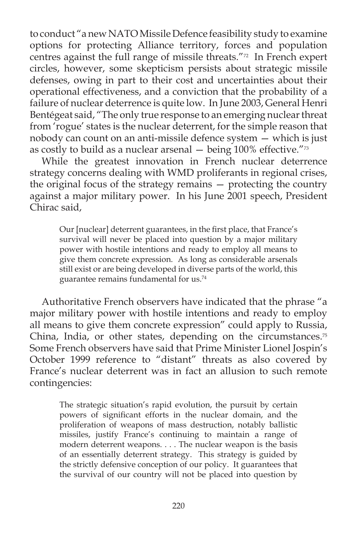to conduct "a new NATO Missile Defence feasibility study to examine options for protecting Alliance territory, forces and population centres against the full range of missile threats."72 In French expert circles, however, some skepticism persists about strategic missile defenses, owing in part to their cost and uncertainties about their operational effectiveness, and a conviction that the probability of a failure of nuclear deterrence is quite low. In June 2003, General Henri Bentégeat said, "The only true response to an emerging nuclear threat from 'rogue' states is the nuclear deterrent, for the simple reason that nobody can count on an anti-missile defence system — which is just as costly to build as a nuclear arsenal  $-$  being 100% effective." $\frac{73}{2}$ 

While the greatest innovation in French nuclear deterrence strategy concerns dealing with WMD proliferants in regional crises, the original focus of the strategy remains — protecting the country against a major military power. In his June 2001 speech, President Chirac said,

Our [nuclear] deterrent guarantees, in the first place, that France's survival will never be placed into question by a major military power with hostile intentions and ready to employ all means to give them concrete expression. As long as considerable arsenals still exist or are being developed in diverse parts of the world, this guarantee remains fundamental for us.74

Authoritative French observers have indicated that the phrase "a major military power with hostile intentions and ready to employ all means to give them concrete expression" could apply to Russia, China, India, or other states, depending on the circumstances. $75$ Some French observers have said that Prime Minister Lionel Jospin's October 1999 reference to "distant" threats as also covered by France's nuclear deterrent was in fact an allusion to such remote contingencies:

The strategic situation's rapid evolution, the pursuit by certain powers of significant efforts in the nuclear domain, and the proliferation of weapons of mass destruction, notably ballistic missiles, justify France's continuing to maintain a range of modern deterrent weapons. . . . The nuclear weapon is the basis of an essentially deterrent strategy. This strategy is guided by the strictly defensive conception of our policy. It guarantees that the survival of our country will not be placed into question by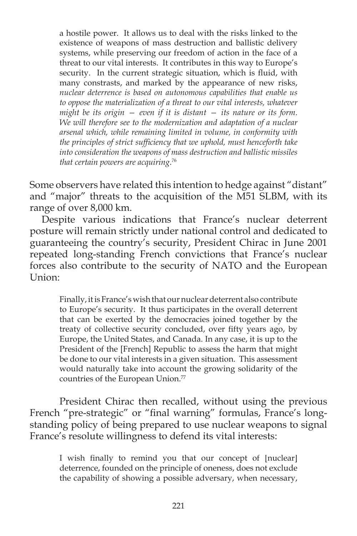a hostile power. It allows us to deal with the risks linked to the existence of weapons of mass destruction and ballistic delivery systems, while preserving our freedom of action in the face of a threat to our vital interests. It contributes in this way to Europe's security. In the current strategic situation, which is fluid, with many constrasts, and marked by the appearance of new risks, *nuclear deterrence is based on autonomous capabilities that enable us to oppose the materialization of a threat to our vital interests, whatever might be its origin — even if it is distant — its nature or its form*. *We will therefore see to the modernization and adaptation of a nuclear arsenal which, while remaining limited in volume, in conformity with the principles of strict sufficiency that we uphold, must henceforth take into consideration the weapons of mass destruction and ballistic missiles that certain powers are acquiring*. 76

Some observers have related this intention to hedge against "distant" and "major" threats to the acquisition of the M51 SLBM, with its range of over 8,000 km.

Despite various indications that France's nuclear deterrent posture will remain strictly under national control and dedicated to guaranteeing the country's security, President Chirac in June 2001 repeated long-standing French convictions that France's nuclear forces also contribute to the security of NATO and the European Union:

Finally, it is France's wish that our nuclear deterrent also contribute to Europe's security. It thus participates in the overall deterrent that can be exerted by the democracies joined together by the treaty of collective security concluded, over fifty years ago, by Europe, the United States, and Canada. In any case, it is up to the President of the [French] Republic to assess the harm that might be done to our vital interests in a given situation. This assessment would naturally take into account the growing solidarity of the countries of the European Union.<sup>77</sup>

 President Chirac then recalled, without using the previous French "pre-strategic" or "final warning" formulas, France's longstanding policy of being prepared to use nuclear weapons to signal France's resolute willingness to defend its vital interests:

I wish finally to remind you that our concept of [nuclear] deterrence, founded on the principle of oneness, does not exclude the capability of showing a possible adversary, when necessary,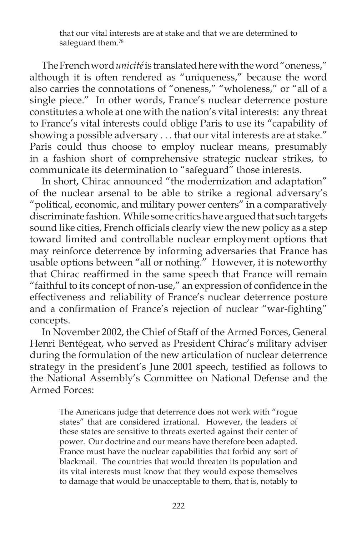that our vital interests are at stake and that we are determined to safeguard them.<sup>78</sup>

The French word *unicité* is translated here with the word "oneness," although it is often rendered as "uniqueness," because the word also carries the connotations of "oneness," "wholeness," or "all of a single piece." In other words, France's nuclear deterrence posture constitutes a whole at one with the nation's vital interests: any threat to France's vital interests could oblige Paris to use its "capability of showing a possible adversary . . . that our vital interests are at stake." Paris could thus choose to employ nuclear means, presumably in a fashion short of comprehensive strategic nuclear strikes, to communicate its determination to "safeguard" those interests.

In short, Chirac announced "the modernization and adaptation" of the nuclear arsenal to be able to strike a regional adversary's "political, economic, and military power centers" in a comparatively discriminate fashion. While some critics have argued that such targets sound like cities, French officials clearly view the new policy as a step toward limited and controllable nuclear employment options that may reinforce deterrence by informing adversaries that France has usable options between "all or nothing." However, it is noteworthy that Chirac reaffirmed in the same speech that France will remain "faithful to its concept of non-use," an expression of confidence in the effectiveness and reliability of France's nuclear deterrence posture and a confirmation of France's rejection of nuclear "war-fighting" concepts.

In November 2002, the Chief of Staff of the Armed Forces, General Henri Bentégeat, who served as President Chirac's military adviser during the formulation of the new articulation of nuclear deterrence strategy in the president's June 2001 speech, testified as follows to the National Assembly's Committee on National Defense and the Armed Forces:

The Americans judge that deterrence does not work with "rogue states" that are considered irrational. However, the leaders of these states are sensitive to threats exerted against their center of power. Our doctrine and our means have therefore been adapted. France must have the nuclear capabilities that forbid any sort of blackmail. The countries that would threaten its population and its vital interests must know that they would expose themselves to damage that would be unacceptable to them, that is, notably to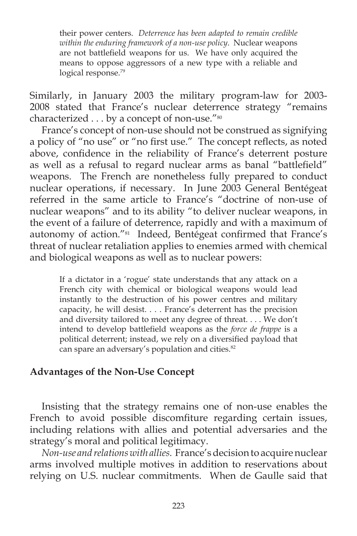their power centers. *Deterrence has been adapted to remain credible within the enduring framework of a non-use policy*. Nuclear weapons are not battlefield weapons for us. We have only acquired the means to oppose aggressors of a new type with a reliable and logical response.<sup>79</sup>

Similarly, in January 2003 the military program-law for 2003- 2008 stated that France's nuclear deterrence strategy "remains characterized . . . by a concept of non-use."<sup>80</sup>

France's concept of non-use should not be construed as signifying a policy of "no use" or "no first use." The concept reflects, as noted above, confidence in the reliability of France's deterrent posture as well as a refusal to regard nuclear arms as banal "battlefield" weapons. The French are nonetheless fully prepared to conduct nuclear operations, if necessary. In June 2003 General Bentégeat referred in the same article to France's "doctrine of non-use of nuclear weapons" and to its ability "to deliver nuclear weapons, in the event of a failure of deterrence, rapidly and with a maximum of autonomy of action."<sup>81</sup> Indeed, Bentégeat confirmed that France's threat of nuclear retaliation applies to enemies armed with chemical and biological weapons as well as to nuclear powers:

If a dictator in a 'rogue' state understands that any attack on a French city with chemical or biological weapons would lead instantly to the destruction of his power centres and military capacity, he will desist. . . . France's deterrent has the precision and diversity tailored to meet any degree of threat. . . . We don't intend to develop battlefield weapons as the *force de frappe* is a political deterrent; instead, we rely on a diversified payload that can spare an adversary's population and cities.<sup>82</sup>

### **Advantages of the Non-Use Concept**

Insisting that the strategy remains one of non-use enables the French to avoid possible discomfiture regarding certain issues, including relations with allies and potential adversaries and the strategy's moral and political legitimacy.

*Non-use and relations with allies.* France's decision to acquire nuclear arms involved multiple motives in addition to reservations about relying on U.S. nuclear commitments. When de Gaulle said that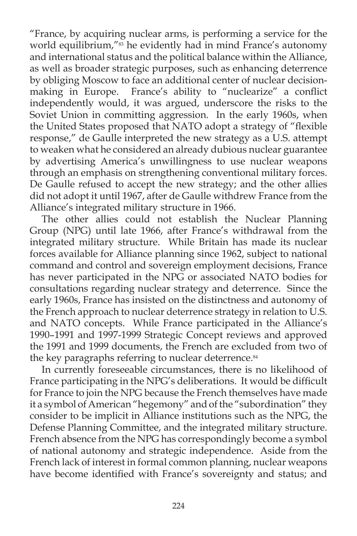"France, by acquiring nuclear arms, is performing a service for the world equilibrium,"<sup>83</sup> he evidently had in mind France's autonomy and international status and the political balance within the Alliance, as well as broader strategic purposes, such as enhancing deterrence by obliging Moscow to face an additional center of nuclear decisionmaking in Europe. France's ability to "nuclearize" a conflict independently would, it was argued, underscore the risks to the Soviet Union in committing aggression. In the early 1960s, when the United States proposed that NATO adopt a strategy of "flexible response," de Gaulle interpreted the new strategy as a U.S. attempt to weaken what he considered an already dubious nuclear guarantee by advertising America's unwillingness to use nuclear weapons through an emphasis on strengthening conventional military forces. De Gaulle refused to accept the new strategy; and the other allies did not adopt it until 1967, after de Gaulle withdrew France from the Alliance's integrated military structure in 1966.

The other allies could not establish the Nuclear Planning Group (NPG) until late 1966, after France's withdrawal from the integrated military structure. While Britain has made its nuclear forces available for Alliance planning since 1962, subject to national command and control and sovereign employment decisions, France has never participated in the NPG or associated NATO bodies for consultations regarding nuclear strategy and deterrence. Since the early 1960s, France has insisted on the distinctness and autonomy of the French approach to nuclear deterrence strategy in relation to U.S. and NATO concepts. While France participated in the Alliance's 1990–1991 and 1997-1999 Strategic Concept reviews and approved the 1991 and 1999 documents, the French are excluded from two of the key paragraphs referring to nuclear deterrence.<sup>84</sup>

In currently foreseeable circumstances, there is no likelihood of France participating in the NPG's deliberations. It would be difficult for France to join the NPG because the French themselves have made it a symbol of American "hegemony" and of the "subordination" they consider to be implicit in Alliance institutions such as the NPG, the Defense Planning Committee, and the integrated military structure. French absence from the NPG has correspondingly become a symbol of national autonomy and strategic independence. Aside from the French lack of interest in formal common planning, nuclear weapons have become identified with France's sovereignty and status; and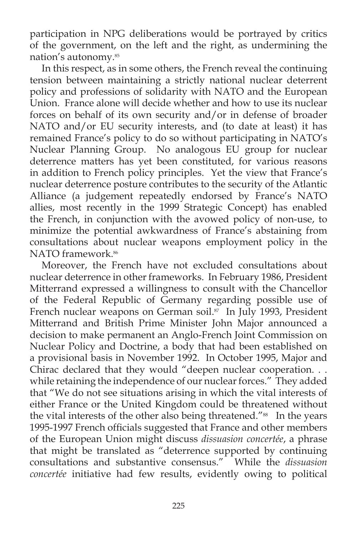participation in NPG deliberations would be portrayed by critics of the government, on the left and the right, as undermining the nation's autonomy.85

In this respect, as in some others, the French reveal the continuing tension between maintaining a strictly national nuclear deterrent policy and professions of solidarity with NATO and the European Union. France alone will decide whether and how to use its nuclear forces on behalf of its own security and/or in defense of broader NATO and/or EU security interests, and (to date at least) it has remained France's policy to do so without participating in NATO's Nuclear Planning Group. No analogous EU group for nuclear deterrence matters has yet been constituted, for various reasons in addition to French policy principles. Yet the view that France's nuclear deterrence posture contributes to the security of the Atlantic Alliance (a judgement repeatedly endorsed by France's NATO allies, most recently in the 1999 Strategic Concept) has enabled the French, in conjunction with the avowed policy of non-use, to minimize the potential awkwardness of France's abstaining from consultations about nuclear weapons employment policy in the NATO framework.<sup>86</sup>

Moreover, the French have not excluded consultations about nuclear deterrence in other frameworks. In February 1986, President Mitterrand expressed a willingness to consult with the Chancellor of the Federal Republic of Germany regarding possible use of French nuclear weapons on German soil.<sup>87</sup> In July 1993, President Mitterrand and British Prime Minister John Major announced a decision to make permanent an Anglo-French Joint Commission on Nuclear Policy and Doctrine, a body that had been established on a provisional basis in November 1992. In October 1995, Major and Chirac declared that they would "deepen nuclear cooperation. . . while retaining the independence of our nuclear forces." They added that "We do not see situations arising in which the vital interests of either France or the United Kingdom could be threatened without the vital interests of the other also being threatened."<sup>88</sup> In the years 1995-1997 French officials suggested that France and other members of the European Union might discuss *dissuasion concertée*, a phrase that might be translated as "deterrence supported by continuing consultations and substantive consensus." While the *dissuasion concertée* initiative had few results, evidently owing to political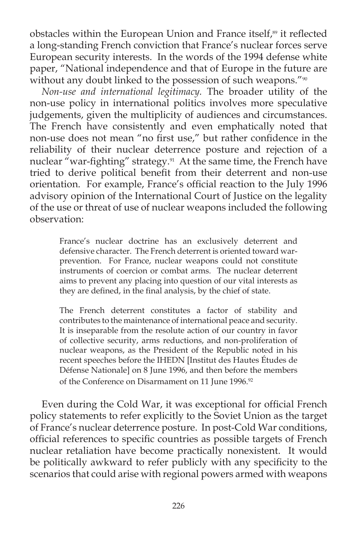obstacles within the European Union and France itself,<sup>89</sup> it reflected a long-standing French conviction that France's nuclear forces serve European security interests. In the words of the 1994 defense white paper, "National independence and that of Europe in the future are without any doubt linked to the possession of such weapons."<sup>90</sup>

*Non-use and international legitimacy.* The broader utility of the non-use policy in international politics involves more speculative judgements, given the multiplicity of audiences and circumstances. The French have consistently and even emphatically noted that non-use does not mean "no first use," but rather confidence in the reliability of their nuclear deterrence posture and rejection of a nuclear "war-fighting" strategy.<sup>91</sup> At the same time, the French have tried to derive political benefit from their deterrent and non-use orientation. For example, France's official reaction to the July 1996 advisory opinion of the International Court of Justice on the legality of the use or threat of use of nuclear weapons included the following observation:

> France's nuclear doctrine has an exclusively deterrent and defensive character. The French deterrent is oriented toward warprevention. For France, nuclear weapons could not constitute instruments of coercion or combat arms. The nuclear deterrent aims to prevent any placing into question of our vital interests as they are defined, in the final analysis, by the chief of state.

> The French deterrent constitutes a factor of stability and contributes to the maintenance of international peace and security. It is inseparable from the resolute action of our country in favor of collective security, arms reductions, and non-proliferation of nuclear weapons, as the President of the Republic noted in his recent speeches before the IHEDN [Institut des Hautes Études de Défense Nationale] on 8 June 1996, and then before the members of the Conference on Disarmament on 11 June 1996.<sup>92</sup>

Even during the Cold War, it was exceptional for official French policy statements to refer explicitly to the Soviet Union as the target of France's nuclear deterrence posture. In post-Cold War conditions, official references to specific countries as possible targets of French nuclear retaliation have become practically nonexistent. It would be politically awkward to refer publicly with any specificity to the scenarios that could arise with regional powers armed with weapons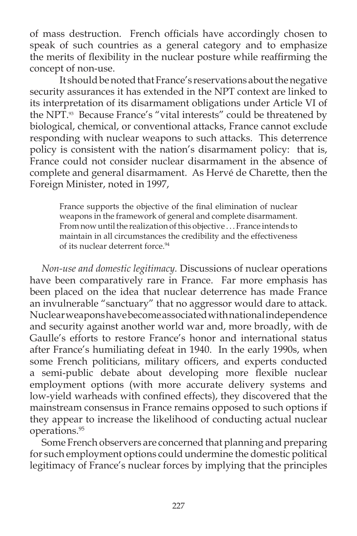of mass destruction. French officials have accordingly chosen to speak of such countries as a general category and to emphasize the merits of flexibility in the nuclear posture while reaffirming the concept of non-use.

 It should be noted that France's reservations about the negative security assurances it has extended in the NPT context are linked to its interpretation of its disarmament obligations under Article VI of the NPT.<sup>93</sup> Because France's "vital interests" could be threatened by biological, chemical, or conventional attacks, France cannot exclude responding with nuclear weapons to such attacks. This deterrence policy is consistent with the nation's disarmament policy: that is, France could not consider nuclear disarmament in the absence of complete and general disarmament. As Hervé de Charette, then the Foreign Minister, noted in 1997,

France supports the objective of the final elimination of nuclear weapons in the framework of general and complete disarmament. From now until the realization of this objective . . . France intends to maintain in all circumstances the credibility and the effectiveness of its nuclear deterrent force.<sup>94</sup>

*Non-use and domestic legitimacy.* Discussions of nuclear operations have been comparatively rare in France. Far more emphasis has been placed on the idea that nuclear deterrence has made France an invulnerable "sanctuary" that no aggressor would dare to attack. Nuclear weapons have become associated with national independence and security against another world war and, more broadly, with de Gaulle's efforts to restore France's honor and international status after France's humiliating defeat in 1940. In the early 1990s, when some French politicians, military officers, and experts conducted a semi-public debate about developing more flexible nuclear employment options (with more accurate delivery systems and low-yield warheads with confined effects), they discovered that the mainstream consensus in France remains opposed to such options if they appear to increase the likelihood of conducting actual nuclear operations.95

Some French observers are concerned that planning and preparing for such employment options could undermine the domestic political legitimacy of France's nuclear forces by implying that the principles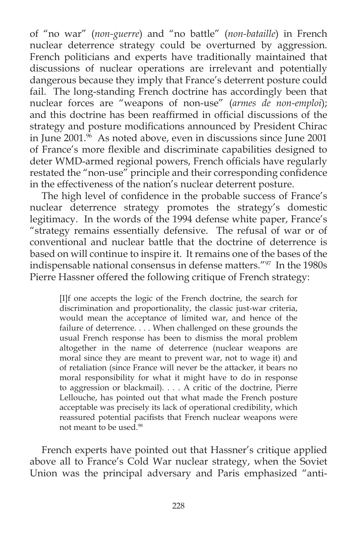of "no war" (*non-guerre*) and "no battle" (*non-bataille*) in French nuclear deterrence strategy could be overturned by aggression. French politicians and experts have traditionally maintained that discussions of nuclear operations are irrelevant and potentially dangerous because they imply that France's deterrent posture could fail. The long-standing French doctrine has accordingly been that nuclear forces are "weapons of non-use" (*armes de non-emploi*); and this doctrine has been reaffirmed in official discussions of the strategy and posture modifications announced by President Chirac in June 2001.<sup>96</sup> As noted above, even in discussions since June 2001 of France's more flexible and discriminate capabilities designed to deter WMD-armed regional powers, French officials have regularly restated the "non-use" principle and their corresponding confidence in the effectiveness of the nation's nuclear deterrent posture.

The high level of confidence in the probable success of France's nuclear deterrence strategy promotes the strategy's domestic legitimacy. In the words of the 1994 defense white paper, France's "strategy remains essentially defensive. The refusal of war or of conventional and nuclear battle that the doctrine of deterrence is based on will continue to inspire it. It remains one of the bases of the indispensable national consensus in defense matters."97 In the 1980s Pierre Hassner offered the following critique of French strategy:

> [I]f one accepts the logic of the French doctrine, the search for discrimination and proportionality, the classic just-war criteria, would mean the acceptance of limited war, and hence of the failure of deterrence. . . . When challenged on these grounds the usual French response has been to dismiss the moral problem altogether in the name of deterrence (nuclear weapons are moral since they are meant to prevent war, not to wage it) and of retaliation (since France will never be the attacker, it bears no moral responsibility for what it might have to do in response to aggression or blackmail). . . . A critic of the doctrine, Pierre Lellouche, has pointed out that what made the French posture acceptable was precisely its lack of operational credibility, which reassured potential pacifists that French nuclear weapons were not meant to be used.98

French experts have pointed out that Hassner's critique applied above all to France's Cold War nuclear strategy, when the Soviet Union was the principal adversary and Paris emphasized "anti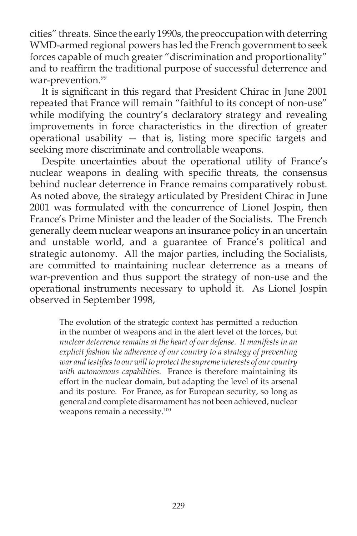cities" threats. Since the early 1990s, the preoccupation with deterring WMD-armed regional powers has led the French government to seek forces capable of much greater "discrimination and proportionality" and to reaffirm the traditional purpose of successful deterrence and war-prevention.<sup>99</sup>

It is significant in this regard that President Chirac in June 2001 repeated that France will remain "faithful to its concept of non-use" while modifying the country's declaratory strategy and revealing improvements in force characteristics in the direction of greater operational usability  $-$  that is, listing more specific targets and seeking more discriminate and controllable weapons.

Despite uncertainties about the operational utility of France's nuclear weapons in dealing with specific threats, the consensus behind nuclear deterrence in France remains comparatively robust. As noted above, the strategy articulated by President Chirac in June 2001 was formulated with the concurrence of Lionel Jospin, then France's Prime Minister and the leader of the Socialists. The French generally deem nuclear weapons an insurance policy in an uncertain and unstable world, and a guarantee of France's political and strategic autonomy. All the major parties, including the Socialists, are committed to maintaining nuclear deterrence as a means of war-prevention and thus support the strategy of non-use and the operational instruments necessary to uphold it. As Lionel Jospin observed in September 1998,

The evolution of the strategic context has permitted a reduction in the number of weapons and in the alert level of the forces, but *nuclear deterrence remains at the heart of our defense. It manifests in an explicit fashion the adherence of our country to a strategy of preventing*  war and testifies to our will to protect the supreme interests of our country *with autonomous capabilities*. France is therefore maintaining its effort in the nuclear domain, but adapting the level of its arsenal and its posture. For France, as for European security, so long as general and complete disarmament has not been achieved, nuclear weapons remain a necessity.<sup>100</sup>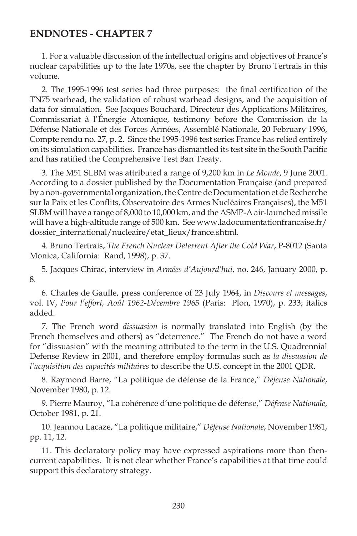#### **ENDNOTES - CHAPTER 7**

1. For a valuable discussion of the intellectual origins and objectives of France's nuclear capabilities up to the late 1970s, see the chapter by Bruno Tertrais in this volume.

2. The 1995-1996 test series had three purposes: the final certification of the TN75 warhead, the validation of robust warhead designs, and the acquisition of data for simulation. See Jacques Bouchard, Directeur des Applications Militaires, Commissariat à l'Énergie Atomique, testimony before the Commission de la Défense Nationale et des Forces Armées, Assemblé Nationale, 20 February 1996, Compte rendu no. 27, p. 2. Since the 1995-1996 test series France has relied entirely on its simulation capabilities. France has dismantled its test site in the South Pacific and has ratified the Comprehensive Test Ban Treaty.

3. The M51 SLBM was attributed a range of 9,200 km in *Le Monde*, 9 June 2001. According to a dossier published by the Documentation Française (and prepared by a non-governmental organization, the Centre de Documentation et de Recherche sur la Paix et les Conflits, Observatoire des Armes Nucléaires Françaises), the M51 SLBM will have a range of 8,000 to 10,000 km, and the ASMP-A air-launched missile will have a high-altitude range of 500 km. See www.ladocumentationfrancaise.fr/ dossier\_international/nucleaire/etat\_lieux/france.shtml.

4. Bruno Tertrais, *The French Nuclear Deterrent After the Cold War*, P-8012 (Santa Monica, California: Rand, 1998), p. 37.

5. Jacques Chirac, interview in *Armées d'Aujourd'hui*, no. 246, January 2000, p. 8.

6. Charles de Gaulle, press conference of 23 July 1964, in *Discours et messages*, vol. IV, *Pour l'effort, Août 1962-Décembre 1965* (Paris: Plon, 1970), p. 233; italics added.

7. The French word *dissuasion* is normally translated into English (by the French themselves and others) as "deterrence." The French do not have a word for "dissuasion" with the meaning attributed to the term in the U.S. Quadrennial Defense Review in 2001, and therefore employ formulas such as *la dissuasion de l'acquisition des capacités militaires* to describe the U.S. concept in the 2001 QDR.

8. Raymond Barre, "La politique de défense de la France," *Défense Nationale*, November 1980, p. 12.

9. Pierre Mauroy, "La cohérence d'une politique de défense," *Défense Nationale*, October 1981, p. 21.

10. Jeannou Lacaze, "La politique militaire," *Défense Nationale*, November 1981, pp. 11, 12.

11. This declaratory policy may have expressed aspirations more than thencurrent capabilities. It is not clear whether France's capabilities at that time could support this declaratory strategy.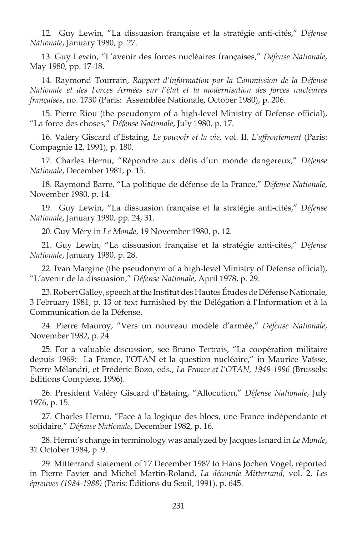12. Guy Lewin, "La dissuasion française et la stratégie anti-cités," *Défense Nationale*, January 1980, p. 27.

13. Guy Lewin, "L'avenir des forces nucléaires françaises," *Défense Nationale*, May 1980, pp. 17-18.

14. Raymond Tourrain, *Rapport d'information par la Commission de la Défense Nationale et des Forces Armées sur l'état et la modernisation des forces nucléaires françaises*, no. 1730 (Paris: Assemblée Nationale, October 1980), p. 206.

15. Pierre Riou (the pseudonym of a high-level Ministry of Defense official), "La force des choses," *Défense Nationale*, July 1980, p. 17.

16. Valéry Giscard d'Estaing, *Le pouvoir et la vie*, vol. II, *L'affrontement* (Paris: Compagnie 12, 1991), p. 180.

17. Charles Hernu, "Répondre aux défis d'un monde dangereux," Défense *Nationale*, December 1981, p. 15.

18. Raymond Barre, "La politique de défense de la France," *Défense Nationale*, November 1980, p. 14.

19. Guy Lewin, "La dissuasion française et la stratégie anti-cités," *Défense Nationale*, January 1980, pp. 24, 31.

20. Guy Méry in *Le Monde*, 19 November 1980, p. 12.

21. Guy Lewin, "La dissuasion française et la stratégie anti-cités," *Défense Nationale*, January 1980, p. 28.

22. Ivan Margine (the pseudonym of a high-level Ministry of Defense official), "L'avenir de la dissuasion," *Défense Nationale*, April 1978, p. 29.

23. Robert Galley, speech at the Institut des Hautes Études de Défense Nationale, 3 February 1981, p. 13 of text furnished by the Délégation à l'Information et à la Communication de la Défense.

24. Pierre Mauroy, "Vers un nouveau modèle d'armée," *Défense Nationale*, November 1982, p. 24.

25. For a valuable discussion, see Bruno Tertrais, "La coopération militaire depuis 1969: La France, l'OTAN et la question nucléaire," in Maurice Vaïsse, Pierre Mélandri, et Frédéric Bozo, eds., *La France et l'OTAN, 1949-1996* (Brussels: Éditions Complexe, 1996).

26. President Valéry Giscard d'Estaing, "Allocution," *Défense Nationale*, July 1976, p. 15.

27. Charles Hernu, "Face à la logique des blocs, une France indépendante et solidaire," *Défense Nationale*, December 1982, p. 16.

28. Hernu's change in terminology was analyzed by Jacques Isnard in *Le Monde*, 31 October 1984, p. 9.

29. Mitterrand statement of 17 December 1987 to Hans Jochen Vogel, reported in Pierre Favier and Michel Martin-Roland, *La décennie Mitterrand*, vol. 2, *Les épreuves (1984-1988)* (Paris: Éditions du Seuil, 1991), p. 645.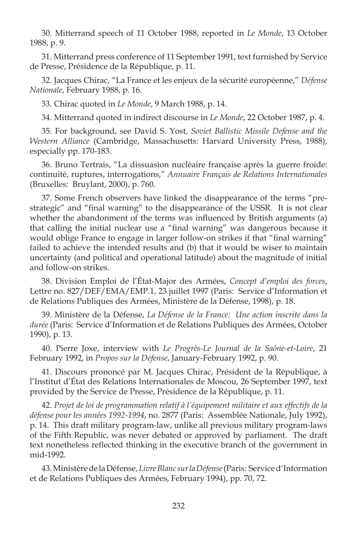30. Mitterrand speech of 11 October 1988, reported in *Le Monde*, 13 October 1988, p. 9.

31. Mitterrand press conference of 11 September 1991, text furnished by Service de Presse, Présidence de la République, p. 11.

32. Jacques Chirac, "La France et les enjeux de la sécurité européenne," *Défense Nationale*, February 1988, p. 16.

33. Chirac quoted in *Le Monde*, 9 March 1988, p. 14.

34. Mitterrand quoted in indirect discourse in *Le Monde*, 22 October 1987, p. 4.

35. For background, see David S. Yost, *Soviet Ballistic Missile Defense and the Western Alliance* (Cambridge, Massachusetts: Harvard University Press, 1988), especially pp. 170-183.

36. Bruno Tertrais, "La dissuasion nucléaire française après la guerre froide: continuité, ruptures, interrogations," *Annuaire Français de Relations Internationales* (Bruxelles: Bruylant, 2000), p. 760.

37. Some French observers have linked the disappearance of the terms "prestrategic" and "final warning" to the disappearance of the USSR. It is not clear whether the abandonment of the terms was influenced by British arguments  $(a)$ that calling the initial nuclear use a "final warning" was dangerous because it would oblige France to engage in larger follow-on strikes if that "final warning" failed to achieve the intended results and (b) that it would be wiser to maintain uncertainty (and political and operational latitude) about the magnitude of initial and follow-on strikes.

38. Division Emploi de l'État-Major des Armées, *Concept d'emploi des forces*, Lettre no. 827/DEF/EMA/EMP.1, 23 juillet 1997 (Paris: Service d'Information et de Relations Publiques des Armées, Ministère de la Défense, 1998), p. 18.

39. Ministère de la Défense, *La Défense de la France: Une action inscrite dans la durée* (Paris: Service d'Information et de Relations Publiques des Armées, October 1990), p. 13.

40. Pierre Joxe, interview with *Le Progrès-Le Journal de la Saône-et-Loire*, 21 February 1992, in *Propos sur la Défense*, January-February 1992, p. 90.

41. Discours prononcé par M. Jacques Chirac, Président de la République, à l'Institut d'État des Relations Internationales de Moscou, 26 September 1997, text provided by the Service de Presse, Présidence de la République, p. 11.

42. *Projet de loi de programmation relatif à l'équipement militaire et aux effectifs de la défense pour les années 1992-1994*, no. 2877 (Paris: Assemblée Nationale, July 1992), p. 14. This draft military program-law, unlike all previous military program-laws of the Fifth Republic, was never debated or approved by parliament. The draft text nonetheless reflected thinking in the executive branch of the government in mid-1992.

43. Ministère de la Défense, *Livre Blanc sur la Défense* (Paris: Service d'Information et de Relations Publiques des Armées, February 1994), pp. 70, 72.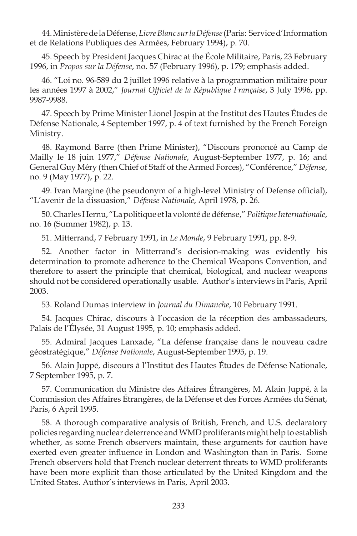44. Ministère de la Défense, *Livre Blanc sur la Défense* (Paris: Service d'Information et de Relations Publiques des Armées, February 1994), p. 70.

45. Speech by President Jacques Chirac at the École Militaire, Paris, 23 February 1996, in *Propos sur la Défense*, no. 57 (February 1996), p. 179; emphasis added.

46. "Loi no. 96-589 du 2 juillet 1996 relative à la programmation militaire pour les années 1997 à 2002," Journal Officiel de la République Française, 3 July 1996, pp. 9987-9988.

47. Speech by Prime Minister Lionel Jospin at the Institut des Hautes Études de Défense Nationale, 4 September 1997, p. 4 of text furnished by the French Foreign Ministry.

48. Raymond Barre (then Prime Minister), "Discours prononcé au Camp de Mailly le 18 juin 1977," *Défense Nationale*, August-September 1977, p. 16; and General Guy Méry (then Chief of Staff of the Armed Forces), "Conférence," *Défense*, no. 9 (May 1977), p. 22.

49. Ivan Margine (the pseudonym of a high-level Ministry of Defense official), "L'avenir de la dissuasion," *Défense Nationale*, April 1978, p. 26.

50. Charles Hernu, "La politique et la volonté de défense," *Politique Internationale*, no. 16 (Summer 1982), p. 13.

51. Mitterrand, 7 February 1991, in *Le Monde*, 9 February 1991, pp. 8-9.

52. Another factor in Mitterrand's decision-making was evidently his determination to promote adherence to the Chemical Weapons Convention, and therefore to assert the principle that chemical, biological, and nuclear weapons should not be considered operationally usable. Author's interviews in Paris, April 2003.

53. Roland Dumas interview in *Journal du Dimanche*, 10 February 1991.

54. Jacques Chirac, discours à l'occasion de la réception des ambassadeurs, Palais de l'Élysée, 31 August 1995, p. 10; emphasis added.

55. Admiral Jacques Lanxade, "La défense française dans le nouveau cadre géostratégique," *Défense Nationale*, August-September 1995, p. 19.

56. Alain Juppé, discours à l'Institut des Hautes Études de Défense Nationale, 7 September 1995, p. 7.

57. Communication du Ministre des Affaires Étrangères, M. Alain Juppé, à la Commission des Affaires Étrangères, de la Défense et des Forces Armées du Sénat, Paris, 6 April 1995.

58. A thorough comparative analysis of British, French, and U.S. declaratory policies regarding nuclear deterrence and WMD proliferants might help to establish whether, as some French observers maintain, these arguments for caution have exerted even greater influence in London and Washington than in Paris. Some French observers hold that French nuclear deterrent threats to WMD proliferants have been more explicit than those articulated by the United Kingdom and the United States. Author's interviews in Paris, April 2003.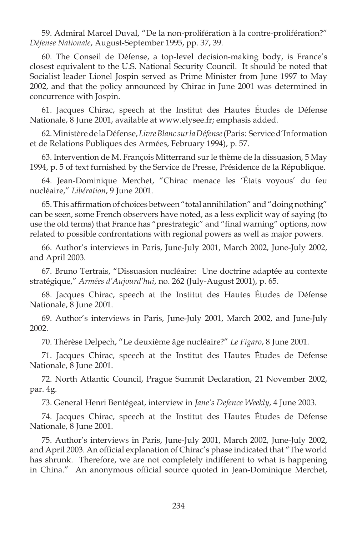59. Admiral Marcel Duval, "De la non-prolifération à la contre-prolifération?" *Défense Nationale*, August-September 1995, pp. 37, 39.

60. The Conseil de Défense, a top-level decision-making body, is France's closest equivalent to the U.S. National Security Council. It should be noted that Socialist leader Lionel Jospin served as Prime Minister from June 1997 to May 2002, and that the policy announced by Chirac in June 2001 was determined in concurrence with Jospin.

61. Jacques Chirac, speech at the Institut des Hautes Études de Défense Nationale, 8 June 2001, available at www.elysee.fr; emphasis added.

62. Ministère de la Défense, *Livre Blanc sur la Défense* (Paris: Service d'Information et de Relations Publiques des Armées, February 1994), p. 57.

63. Intervention de M. François Mitterrand sur le thème de la dissuasion, 5 May 1994, p. 5 of text furnished by the Service de Presse, Présidence de la République.

64. Jean-Dominique Merchet, "Chirac menace les 'États voyous' du feu nucléaire," *Libération*, 9 June 2001.

65. This affirmation of choices between "total annihilation" and "doing nothing" can be seen, some French observers have noted, as a less explicit way of saying (to use the old terms) that France has "prestrategic" and "final warning" options, now related to possible confrontations with regional powers as well as major powers.

66. Author's interviews in Paris, June-July 2001, March 2002, June-July 2002, and April 2003.

67. Bruno Tertrais, "Dissuasion nucléaire: Une doctrine adaptée au contexte stratégique," *Armées d'Aujourd'hui*, no. 262 (July-August 2001), p. 65.

68. Jacques Chirac, speech at the Institut des Hautes Études de Défense Nationale, 8 June 2001.

69. Author's interviews in Paris, June-July 2001, March 2002, and June-July 2002.

70. Thérèse Delpech, "Le deuxième âge nucléaire?" *Le Figaro*, 8 June 2001.

71. Jacques Chirac, speech at the Institut des Hautes Études de Défense Nationale, 8 June 2001.

72. North Atlantic Council, Prague Summit Declaration, 21 November 2002, par. 4g.

73. General Henri Bentégeat, interview in *Jane's Defence Weekly*, 4 June 2003.

74. Jacques Chirac, speech at the Institut des Hautes Études de Défense Nationale, 8 June 2001.

75. Author's interviews in Paris, June-July 2001, March 2002, June-July 2002**,**  and April 2003. An official explanation of Chirac's phase indicated that "The world has shrunk. Therefore, we are not completely indifferent to what is happening in China." An anonymous official source quoted in Jean-Dominique Merchet,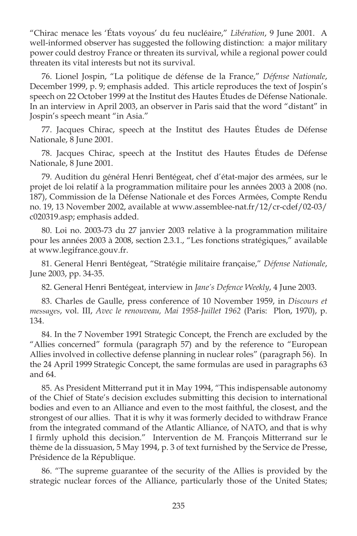"Chirac menace les 'États voyous' du feu nucléaire," *Libération*, 9 June 2001. A well-informed observer has suggested the following distinction: a major military power could destroy France or threaten its survival, while a regional power could threaten its vital interests but not its survival.

76. Lionel Jospin, "La politique de défense de la France," *Défense Nationale*, December 1999, p. 9; emphasis added. This article reproduces the text of Jospin's speech on 22 October 1999 at the Institut des Hautes Études de Défense Nationale. In an interview in April 2003, an observer in Paris said that the word "distant" in Jospin's speech meant "in Asia."

77. Jacques Chirac, speech at the Institut des Hautes Études de Défense Nationale, 8 June 2001.

78. Jacques Chirac, speech at the Institut des Hautes Études de Défense Nationale, 8 June 2001.

79. Audition du général Henri Bentégeat, chef d'état-major des armées, sur le projet de loi relatif à la programmation militaire pour les années 2003 à 2008 (no. 187), Commission de la Défense Nationale et des Forces Armées, Compte Rendu no. 19, 13 November 2002, available at www.assemblee-nat.fr/12/cr-cdef/02-03/ c020319.asp; emphasis added.

80. Loi no. 2003-73 du 27 janvier 2003 relative à la programmation militaire pour les années 2003 à 2008, section 2.3.1., "Les fonctions stratégiques," available at www.legifrance.gouv.fr.

81. General Henri Bentégeat, "Stratégie militaire française," *Défense Nationale*, June 2003, pp. 34-35.

82. General Henri Bentégeat, interview in *Jane's Defence Weekly*, 4 June 2003.

83. Charles de Gaulle, press conference of 10 November 1959, in *Discours et messages*, vol. III, *Avec le renouveau, Mai 1958-Juillet 1962* (Paris: Plon, 1970), p. 134.

84. In the 7 November 1991 Strategic Concept, the French are excluded by the "Allies concerned" formula (paragraph 57) and by the reference to "European Allies involved in collective defense planning in nuclear roles" (paragraph 56). In the 24 April 1999 Strategic Concept, the same formulas are used in paragraphs 63 and 64.

85. As President Mitterrand put it in May 1994, "This indispensable autonomy of the Chief of State's decision excludes submitting this decision to international bodies and even to an Alliance and even to the most faithful, the closest, and the strongest of our allies. That it is why it was formerly decided to withdraw France from the integrated command of the Atlantic Alliance, of NATO, and that is why I firmly uphold this decision." Intervention de M. François Mitterrand sur le thème de la dissuasion, 5 May 1994, p. 3 of text furnished by the Service de Presse, Présidence de la République.

86. "The supreme guarantee of the security of the Allies is provided by the strategic nuclear forces of the Alliance, particularly those of the United States;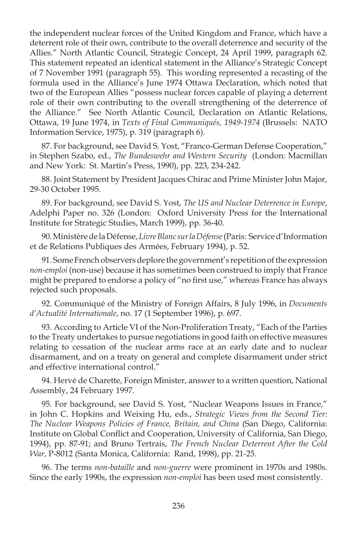the independent nuclear forces of the United Kingdom and France, which have a deterrent role of their own, contribute to the overall deterrence and security of the Allies." North Atlantic Council, Strategic Concept, 24 April 1999, paragraph 62. This statement repeated an identical statement in the Alliance's Strategic Concept of 7 November 1991 (paragraph 55). This wording represented a recasting of the formula used in the Alliance's June 1974 Ottawa Declaration, which noted that two of the European Allies "possess nuclear forces capable of playing a deterrent role of their own contributing to the overall strengthening of the deterrence of the Alliance." See North Atlantic Council, Declaration on Atlantic Relations, Ottawa, 19 June 1974, in *Texts of Final Communiqués, 1949-1974* (Brussels: NATO Information Service, 1975), p. 319 (paragraph 6).

87. For background, see David S. Yost, "Franco-German Defense Cooperation," in Stephen Szabo, ed., *The Bundeswehr and Western Security* (London: Macmillan and New York: St. Martin's Press, 1990), pp. 223, 234-242.

88. Joint Statement by President Jacques Chirac and Prime Minister John Major, 29-30 October 1995.

89. For background, see David S. Yost, *The US and Nuclear Deterrence in Europe*, Adelphi Paper no. 326 (London: Oxford University Press for the International Institute for Strategic Studies, March 1999), pp. 36-40.

90. Ministère de la Défense, *Livre Blanc sur la Défense* (Paris: Service d'Information et de Relations Publiques des Armées, February 1994), p. 52.

91. Some French observers deplore the government's repetition of the expression *non-emploi* (non-use) because it has sometimes been construed to imply that France might be prepared to endorse a policy of "no first use," whereas France has always rejected such proposals.

92. Communiqué of the Ministry of Foreign Affairs, 8 July 1996, in *Documents d'Actualité Internationale*, no. 17 (1 September 1996), p. 697.

93. According to Article VI of the Non-Proliferation Treaty, "Each of the Parties to the Treaty undertakes to pursue negotiations in good faith on effective measures relating to cessation of the nuclear arms race at an early date and to nuclear disarmament, and on a treaty on general and complete disarmament under strict and effective international control."

94. Hervé de Charette, Foreign Minister, answer to a written question, National Assembly, 24 February 1997.

95. For background, see David S. Yost, "Nuclear Weapons Issues in France," in John C. Hopkins and Weixing Hu, eds., *Strategic Views from the Second Tier: The Nuclear Weapons Policies of France, Britain, and China* (San Diego, California: Institute on Global Conflict and Cooperation, University of California, San Diego, 1994), pp. 87-91; and Bruno Tertrais, *The French Nuclear Deterrent After the Cold War*, P-8012 (Santa Monica, California: Rand, 1998), pp. 21-25.

96. The terms *non-bataille* and *non-guerre* were prominent in 1970s and 1980s. Since the early 1990s, the expression *non-emploi* has been used most consistently.